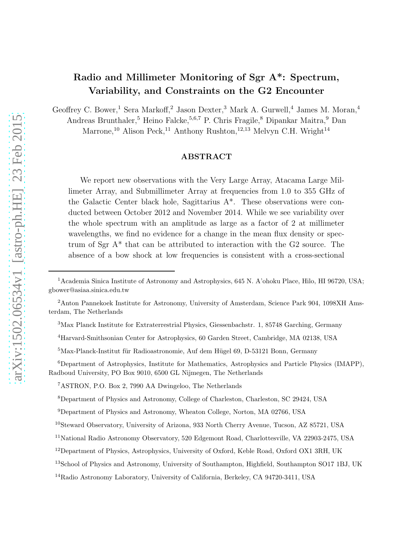# Radio and Millimeter Monitoring of Sgr A\*: Spectrum, Variability, and Constraints on the G2 Encounter

Geoffrey C. Bower,<sup>1</sup> Sera Markoff,<sup>2</sup> Jason Dexter,<sup>3</sup> Mark A. Gurwell,<sup>4</sup> James M. Moran,<sup>4</sup>

Andreas Brunthaler,<sup>5</sup> Heino Falcke,<sup>5,6,7</sup> P. Chris Fragile,<sup>8</sup> Dipankar Maitra,<sup>9</sup> Dan

Marrone,<sup>10</sup> Alison Peck,<sup>11</sup> Anthony Rushton,<sup>12,13</sup> Melvyn C.H. Wright<sup>14</sup>

# ABSTRACT

We report new observations with the Very Large Array, Atacama Large Millimeter Array, and Submillimeter Array at frequencies from 1.0 to 355 GHz of the Galactic Center black hole, Sagittarius A\*. These observations were conducted between October 2012 and November 2014. While we see variability over the whole spectrum with an amplitude as large as a factor of 2 at millimeter wavelengths, we find no evidence for a change in the mean flux density or spectrum of Sgr A\* that can be attributed to interaction with the G2 source. The absence of a bow shock at low frequencies is consistent with a cross-sectional

<sup>6</sup>Department of Astrophysics, Institute for Mathematics, Astrophysics and Particle Physics (IMAPP), Radboud University, PO Box 9010, 6500 GL Nijmegen, The Netherlands

<sup>&</sup>lt;sup>1</sup> Academia Sinica Institute of Astronomy and Astrophysics, 645 N. A'ohoku Place, Hilo, HI 96720, USA; gbower@asiaa.sinica.edu.tw

<sup>2</sup>Anton Pannekoek Institute for Astronomy, University of Amsterdam, Science Park 904, 1098XH Amsterdam, The Netherlands

<sup>3</sup>Max Planck Institute for Extraterrestrial Physics, Giessenbachstr. 1, 85748 Garching, Germany

<sup>4</sup>Harvard-Smithsonian Center for Astrophysics, 60 Garden Street, Cambridge, MA 02138, USA

 $5$ Max-Planck-Institut für Radioastronomie, Auf dem Hügel 69, D-53121 Bonn, Germany

<sup>7</sup>ASTRON, P.O. Box 2, 7990 AA Dwingeloo, The Netherlands

<sup>8</sup>Department of Physics and Astronomy, College of Charleston, Charleston, SC 29424, USA

<sup>9</sup>Department of Physics and Astronomy, Wheaton College, Norton, MA 02766, USA

<sup>10</sup>Steward Observatory, University of Arizona, 933 North Cherry Avenue, Tucson, AZ 85721, USA

<sup>11</sup>National Radio Astronomy Observatory, 520 Edgemont Road, Charlottesville, VA 22903-2475, USA

<sup>&</sup>lt;sup>12</sup>Department of Physics, Astrophysics, University of Oxford, Keble Road, Oxford OX1 3RH, UK

<sup>&</sup>lt;sup>13</sup>School of Physics and Astronomy, University of Southampton, Highfield, Southampton SO17 1BJ, UK

<sup>14</sup>Radio Astronomy Laboratory, University of California, Berkeley, CA 94720-3411, USA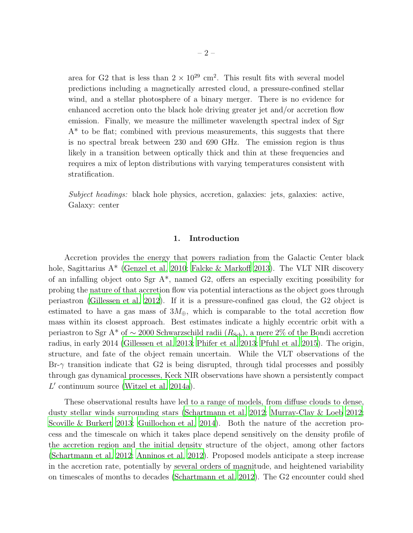area for G2 that is less than  $2 \times 10^{29}$  cm<sup>2</sup>. This result fits with several model predictions including a magnetically arrested cloud, a pressure-confined stellar wind, and a stellar photosphere of a binary merger. There is no evidence for enhanced accretion onto the black hole driving greater jet and/or accretion flow emission. Finally, we measure the millimeter wavelength spectral index of Sgr  $A^*$  to be flat; combined with previous measurements, this suggests that there is no spectral break between 230 and 690 GHz. The emission region is thus likely in a transition between optically thick and thin at these frequencies and requires a mix of lepton distributions with varying temperatures consistent with stratification.

Subject headings: black hole physics, accretion, galaxies: jets, galaxies: active, Galaxy: center

# 1. Introduction

Accretion provides the energy that powers radiation from the Galactic Center black hole, Sagittarius A<sup>\*</sup> [\(Genzel et al. 2010](#page-23-0); [Falcke & Markoff 2013\)](#page-23-1). The VLT NIR discovery of an infalling object onto Sgr  $A^*$ , named G2, offers an especially exciting possibility for probing the nature of that accretion flow via potential interactions as the object goes through periastron [\(Gillessen et al. 2012\)](#page-24-0). If it is a pressure-confined gas cloud, the G2 object is estimated to have a gas mass of  $3M_{\oplus}$ , which is comparable to the total accretion flow mass within its closest approach. Best estimates indicate a highly eccentric orbit with a periastron to Sgr A<sup>\*</sup> of ~ 2000 Schwarzschild radii ( $R_{Sch}$ ), a mere 2% of the Bondi accretion radius, in early 2014 [\(Gillessen et al. 2013](#page-24-1); [Phifer et al. 2013;](#page-25-0) [Pfuhl et al. 2015\)](#page-25-1). The origin, structure, and fate of the object remain uncertain. While the VLT observations of the  $\text{Br-}\gamma$  transition indicate that G2 is being disrupted, through tidal processes and possibly through gas dynamical processes, Keck NIR observations have shown a persistently compact L ′ continuum source [\(Witzel et al. 2014a\)](#page-26-0).

These observational results have led to a range of models, from diffuse clouds to dense, dusty stellar winds surrounding stars [\(Schartmann et al. 2012](#page-25-2); [Murray-Clay & Loeb 2012;](#page-25-3) [Scoville & Burkert 2013;](#page-25-4) [Guillochon et al. 2014\)](#page-24-2). Both the nature of the accretion process and the timescale on which it takes place depend sensitively on the density profile of the accretion region and the initial density structure of the object, among other factors [\(Schartmann et al. 2012](#page-25-2); [Anninos et al. 2012\)](#page-22-0). Proposed models anticipate a steep increase in the accretion rate, potentially by several orders of magnitude, and heightened variability on timescales of months to decades [\(Schartmann et al. 2012](#page-25-2)). The G2 encounter could shed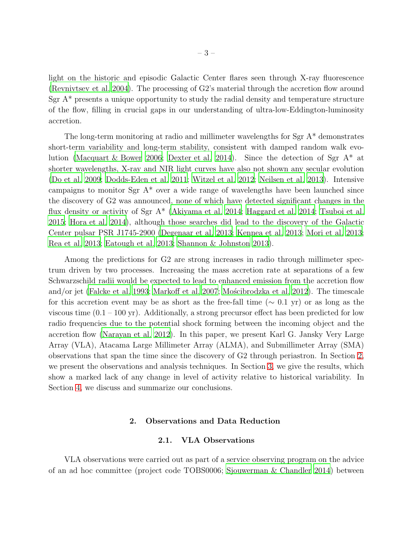light on the historic and episodic Galactic Center flares seen through X-ray fluorescence [\(Revnivtsev et al. 2004\)](#page-25-5). The processing of G2's material through the accretion flow around Sgr  $A^*$  presents a unique opportunity to study the radial density and temperature structure of the flow, filling in crucial gaps in our understanding of ultra-low-Eddington-luminosity accretion.

The long-term monitoring at radio and millimeter wavelengths for Sgr A\* demonstrates short-term variability and long-term stability, consistent with damped random walk evolution [\(Macquart & Bower 2006](#page-24-3); [Dexter et al. 2014](#page-22-1)). Since the detection of Sgr A\* at shorter wavelengths, X-ray and NIR light curves have also not shown any secular evolution [\(Do et al. 2009](#page-22-2); [Dodds-Eden et al. 2011;](#page-22-3) [Witzel et al. 2012;](#page-26-1) [Neilsen et al. 2013\)](#page-25-6). Intensive campaigns to monitor Sgr  $A^*$  over a wide range of wavelengths have been launched since the discovery of G2 was announced, none of which have detected significant changes in the flux density or activity of Sgr A\* [\(Akiyama et al. 2014;](#page-22-4) [Haggard et al.](#page-24-4) [2014;](#page-24-4) [Tsuboi et al.](#page-26-2) [2015;](#page-26-2) [Hora et al. 2014\)](#page-24-5), although those searches did lead to the discovery of the Galactic Center pulsar PSR J1745-2900 [\(Degenaar et al. 2013](#page-22-5); [Kennea et al. 2013](#page-24-6); [Mori et al. 2013;](#page-24-7) [Rea et al. 2013;](#page-25-7) [Eatough et al. 2013](#page-23-2); [Shannon & Johnston 2013\)](#page-25-8).

Among the predictions for G2 are strong increases in radio through millimeter spectrum driven by two processes. Increasing the mass accretion rate at separations of a few Schwarzschild radii would be expected to lead to enhanced emission from the accretion flow and/or jet [\(Falcke et al. 1993](#page-23-3); [Markoff et al. 2007](#page-24-8); Moscibrodzka et al. [2012\)](#page-25-9). The timescale for this accretion event may be as short as the free-fall time ( $\sim 0.1$  yr) or as long as the viscous time  $(0.1 - 100 \text{ yr})$ . Additionally, a strong precursor effect has been predicted for low radio frequencies due to the potential shock forming between the incoming object and the accretion flow [\(Narayan et al. 2012](#page-25-10)). In this paper, we present Karl G. Jansky Very Large Array (VLA), Atacama Large Millimeter Array (ALMA), and Submillimeter Array (SMA) observations that span the time since the discovery of G2 through periastron. In Section [2,](#page-2-0) we present the observations and analysis techniques. In Section [3,](#page-11-0) we give the results, which show a marked lack of any change in level of activity relative to historical variability. In Section [4,](#page-19-0) we discuss and summarize our conclusions.

### 2. Observations and Data Reduction

#### 2.1. VLA Observations

<span id="page-2-0"></span>VLA observations were carried out as part of a service observing program on the advice of an ad hoc committee (project code TOBS0006; [Sjouwerman & Chandler 2014\)](#page-26-3) between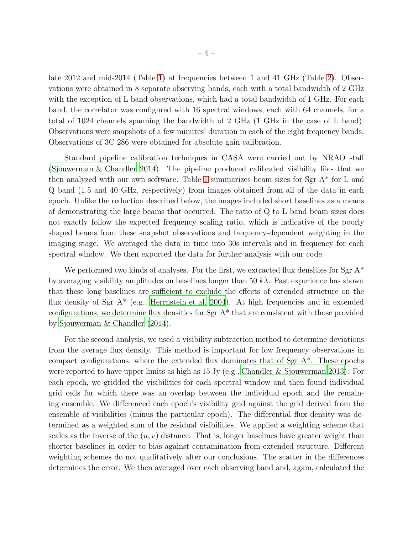late 2012 and mid-2014 (Table [1\)](#page-27-0) at frequencies between 1 and 41 GHz (Table [2\)](#page-28-0). Observations were obtained in 8 separate observing bands, each with a total bandwidth of 2 GHz with the exception of L band observations, which had a total bandwidth of 1 GHz. For each band, the correlator was configured with 16 spectral windows, each with 64 channels, for a total of 1024 channels spanning the bandwidth of 2 GHz (1 GHz in the case of L band). Observations were snapshots of a few minutes' duration in each of the eight frequency bands. Observations of 3C 286 were obtained for absolute gain calibration.

Standard pipeline calibration techniques in CASA were carried out by NRAO staff [\(Sjouwerman & Chandler 2014](#page-26-3)). The pipeline produced calibrated visibility files that we then analyzed with our own software. Table [1](#page-27-0) summarizes beam sizes for  $Sgr A^*$  for L and Q band (1.5 and 40 GHz, respectively) from images obtained from all of the data in each epoch. Unlike the reduction described below, the images included short baselines as a means of demonstrating the large beams that occurred. The ratio of Q to L band beam sizes does not exactly follow the expected frequency scaling ratio, which is indicative of the poorly shaped beams from these snapshot observations and frequency-dependent weighting in the imaging stage. We averaged the data in time into 30s intervals and in frequency for each spectral window. We then exported the data for further analysis with our code.

We performed two kinds of analyses. For the first, we extracted flux densities for  $Sgr A^*$ by averaging visibility amplitudes on baselines longer than 50  $k\lambda$ . Past experience has shown that these long baselines are sufficient to exclude the effects of extended structure on the flux density of Sgr  $A^*$  (e.g., [Herrnstein et al. 2004\)](#page-24-9). At high frequencies and in extended configurations, we determine flux densities for Sgr A\* that are consistent with those provided by [Sjouwerman & Chandler \(2014](#page-26-3)).

For the second analysis, we used a visibility subtraction method to determine deviations from the average flux density. This method is important for low frequency observations in compact configurations, where the extended flux dominates that of Sgr  $A^*$ . These epochs were reported to have upper limits as high as  $15 \text{ Jy}$  (e.g., [Chandler & Sjouwerman 2013](#page-22-6)). For each epoch, we gridded the visibilities for each spectral window and then found individual grid cells for which there was an overlap between the individual epoch and the remaining ensemble. We differenced each epoch's visibility grid against the grid derived from the ensemble of visibilities (minus the particular epoch). The differential flux density was determined as a weighted sum of the residual visibilities. We applied a weighting scheme that scales as the inverse of the  $(u, v)$  distance. That is, longer baselines have greater weight than shorter baselines in order to bias against contamination from extended structure. Different weighting schemes do not qualitatively alter our conclusions. The scatter in the differences determines the error. We then averaged over each observing band and, again, calculated the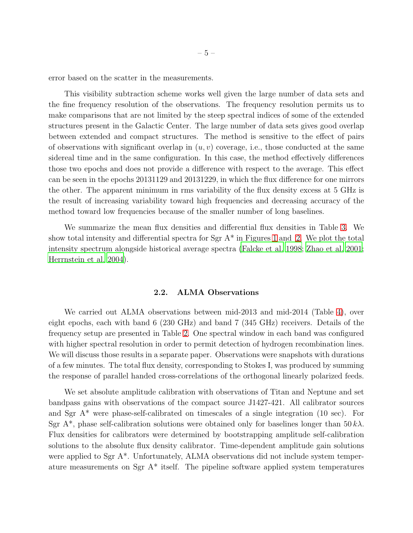error based on the scatter in the measurements.

This visibility subtraction scheme works well given the large number of data sets and the fine frequency resolution of the observations. The frequency resolution permits us to make comparisons that are not limited by the steep spectral indices of some of the extended structures present in the Galactic Center. The large number of data sets gives good overlap between extended and compact structures. The method is sensitive to the effect of pairs of observations with significant overlap in  $(u, v)$  coverage, i.e., those conducted at the same sidereal time and in the same configuration. In this case, the method effectively differences those two epochs and does not provide a difference with respect to the average. This effect can be seen in the epochs 20131129 and 20131229, in which the flux difference for one mirrors the other. The apparent minimum in rms variability of the flux density excess at 5 GHz is the result of increasing variability toward high frequencies and decreasing accuracy of the method toward low frequencies because of the smaller number of long baselines.

We summarize the mean flux densities and differential flux densities in Table [3.](#page-29-0) We show total intensity and differential spectra for  $Sgr A^*$  in Figures [1](#page-5-0) and [2.](#page-6-0) We plot the total intensity spectrum alongside historical average spectra [\(Falcke et al. 1998](#page-23-4); [Zhao et al. 2001;](#page-26-4) [Herrnstein et al. 2004\)](#page-24-9).

## 2.2. ALMA Observations

We carried out ALMA observations between mid-2013 and mid-2014 (Table [4\)](#page-34-0), over eight epochs, each with band 6 (230 GHz) and band 7 (345 GHz) receivers. Details of the frequency setup are presented in Table [2.](#page-28-0) One spectral window in each band was configured with higher spectral resolution in order to permit detection of hydrogen recombination lines. We will discuss those results in a separate paper. Observations were snapshots with durations of a few minutes. The total flux density, corresponding to Stokes I, was produced by summing the response of parallel handed cross-correlations of the orthogonal linearly polarized feeds.

We set absolute amplitude calibration with observations of Titan and Neptune and set bandpass gains with observations of the compact source J1427-421. All calibrator sources and Sgr  $A^*$  were phase-self-calibrated on timescales of a single integration (10 sec). For Sgr A<sup>\*</sup>, phase self-calibration solutions were obtained only for baselines longer than  $50 k\lambda$ . Flux densities for calibrators were determined by bootstrapping amplitude self-calibration solutions to the absolute flux density calibrator. Time-dependent amplitude gain solutions were applied to Sgr A<sup>\*</sup>. Unfortunately, ALMA observations did not include system temperature measurements on Sgr A\* itself. The pipeline software applied system temperatures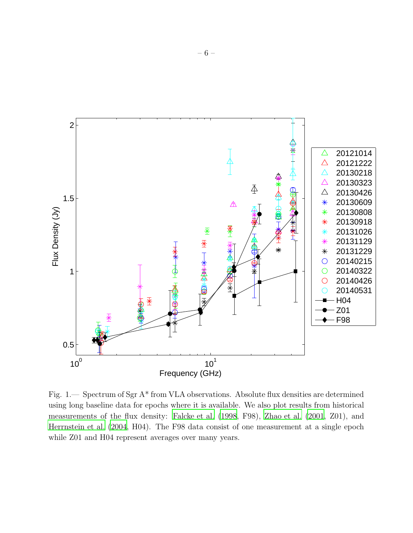

<span id="page-5-0"></span>Fig. 1.— Spectrum of Sgr A\* from VLA observations. Absolute flux densities are determined using long baseline data for epochs where it is available. We also plot results from historical measurements of the flux density: [Falcke et al. \(1998](#page-23-4), F98), [Zhao](#page-26-4) et al. [\(2001,](#page-26-4) Z01), and [Herrnstein et al. \(2004,](#page-24-9) H04). The F98 data consist of one measurement at a single epoch while Z01 and H04 represent averages over many years.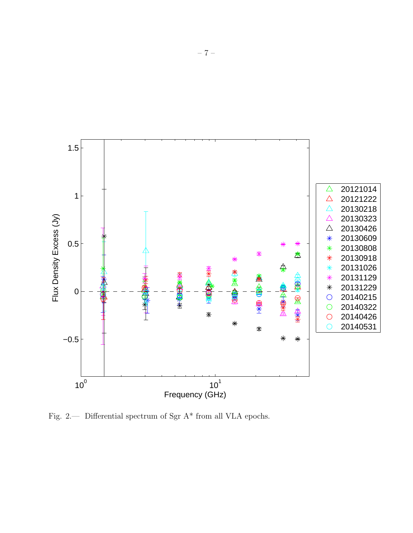

<span id="page-6-0"></span>Fig. 2.— Differential spectrum of Sgr A\* from all VLA epochs.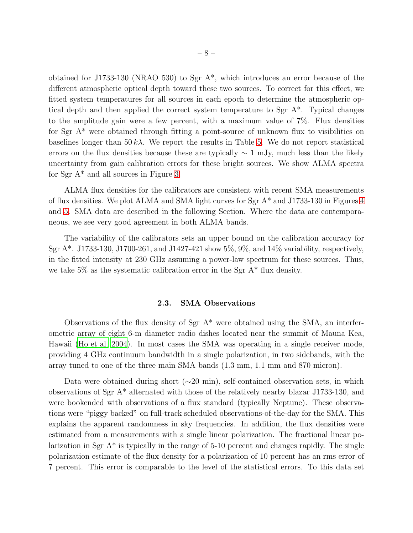obtained for J1733-130 (NRAO 530) to Sgr A\*, which introduces an error because of the different atmospheric optical depth toward these two sources. To correct for this effect, we fitted system temperatures for all sources in each epoch to determine the atmospheric optical depth and then applied the correct system temperature to Sgr A\*. Typical changes to the amplitude gain were a few percent, with a maximum value of 7%. Flux densities for Sgr A\* were obtained through fitting a point-source of unknown flux to visibilities on baselines longer than  $50 k\lambda$ . We report the results in Table [5.](#page-35-0) We do not report statistical errors on the flux densities because these are typically  $\sim 1$  mJy, much less than the likely uncertainty from gain calibration errors for these bright sources. We show ALMA spectra for Sgr A\* and all sources in Figure [3.](#page-8-0)

ALMA flux densities for the calibrators are consistent with recent SMA measurements of flux densities. We plot ALMA and SMA light curves for Sgr A\* and J1733-130 in Figures [4](#page-9-0) and [5.](#page-10-0) SMA data are described in the following Section. Where the data are contemporaneous, we see very good agreement in both ALMA bands.

The variability of the calibrators sets an upper bound on the calibration accuracy for Sgr A\*. J1733-130, J1700-261, and J1427-421 show 5%, 9%, and 14% variability, respectively, in the fitted intensity at 230 GHz assuming a power-law spectrum for these sources. Thus, we take  $5\%$  as the systematic calibration error in the Sgr A<sup>\*</sup> flux density.

# 2.3. SMA Observations

Observations of the flux density of Sgr  $A^*$  were obtained using the SMA, an interferometric array of eight 6-m diameter radio dishes located near the summit of Mauna Kea, Hawaii [\(Ho et al. 2004\)](#page-24-10). In most cases the SMA was operating in a single receiver mode, providing 4 GHz continuum bandwidth in a single polarization, in two sidebands, with the array tuned to one of the three main SMA bands (1.3 mm, 1.1 mm and 870 micron).

Data were obtained during short ( $\sim$ 20 min), self-contained observation sets, in which observations of Sgr A\* alternated with those of the relatively nearby blazar J1733-130, and were bookended with observations of a flux standard (typically Neptune). These observations were "piggy backed" on full-track scheduled observations-of-the-day for the SMA. This explains the apparent randomness in sky frequencies. In addition, the flux densities were estimated from a measurements with a single linear polarization. The fractional linear polarization in Sgr  $A^*$  is typically in the range of 5-10 percent and changes rapidly. The single polarization estimate of the flux density for a polarization of 10 percent has an rms error of 7 percent. This error is comparable to the level of the statistical errors. To this data set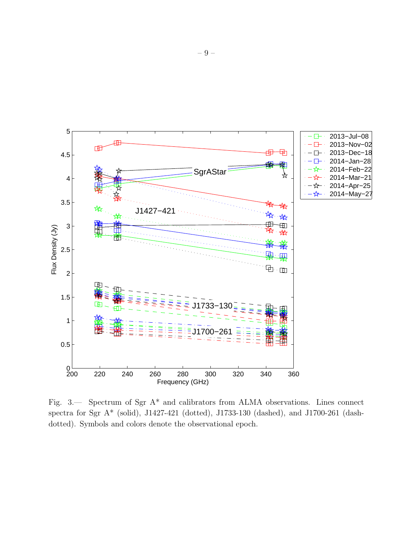

<span id="page-8-0"></span>Fig. 3.— Spectrum of Sgr A\* and calibrators from ALMA observations. Lines connect spectra for Sgr A\* (solid), J1427-421 (dotted), J1733-130 (dashed), and J1700-261 (dashdotted). Symbols and colors denote the observational epoch.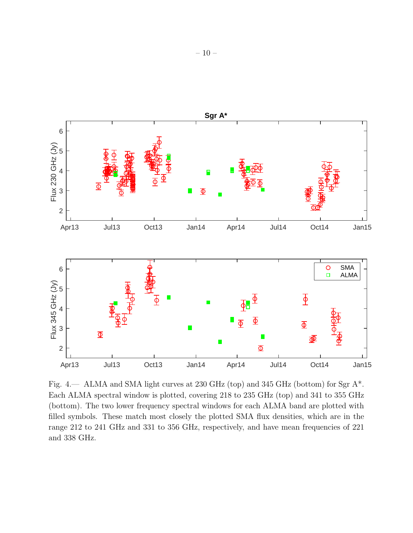

<span id="page-9-0"></span>Fig. 4.— ALMA and SMA light curves at 230 GHz (top) and 345 GHz (bottom) for Sgr A\*. Each ALMA spectral window is plotted, covering 218 to 235 GHz (top) and 341 to 355 GHz (bottom). The two lower frequency spectral windows for each ALMA band are plotted with filled symbols. These match most closely the plotted SMA flux densities, which are in the range 212 to 241 GHz and 331 to 356 GHz, respectively, and have mean frequencies of 221 and 338 GHz.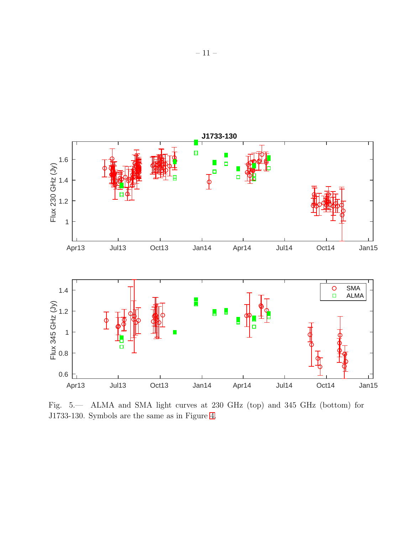

<span id="page-10-0"></span>Fig. 5.— ALMA and SMA light curves at 230 GHz (top) and 345 GHz (bottom) for J1733-130. Symbols are the same as in Figure [4.](#page-9-0)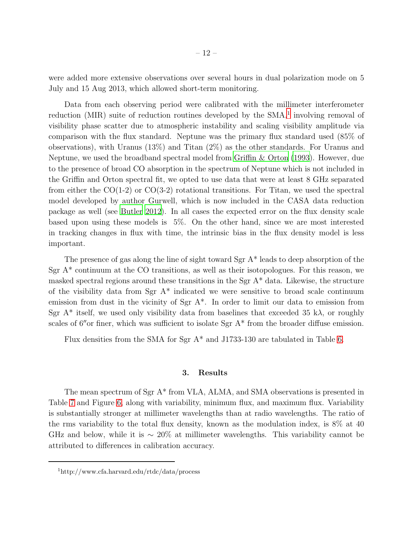were added more extensive observations over several hours in dual polarization mode on 5 July and 15 Aug 2013, which allowed short-term monitoring.

Data from each observing period were calibrated with the millimeter interferometer reduction (MIR) suite of reduction routines developed by the SMA,<sup>[1](#page-26-5)</sup> involving removal of visibility phase scatter due to atmospheric instability and scaling visibility amplitude via comparison with the flux standard. Neptune was the primary flux standard used (85% of observations), with Uranus (13%) and Titan (2%) as the other standards. For Uranus and Neptune, we used the broadband spectral model from [Griffin & Orton \(1993\)](#page-24-11). However, due to the presence of broad CO absorption in the spectrum of Neptune which is not included in the Griffin and Orton spectral fit, we opted to use data that were at least 8 GHz separated from either the  $CO(1-2)$  or  $CO(3-2)$  rotational transitions. For Titan, we used the spectral model developed by author Gurwell, which is now included in the CASA data reduction package as well (see [Butler 2012](#page-22-7)). In all cases the expected error on the flux density scale based upon using these models is 5%. On the other hand, since we are most interested in tracking changes in flux with time, the intrinsic bias in the flux density model is less important.

The presence of gas along the line of sight toward Sgr A\* leads to deep absorption of the Sgr  $A^*$  continuum at the CO transitions, as well as their isotopologues. For this reason, we masked spectral regions around these transitions in the Sgr A\* data. Likewise, the structure of the visibility data from Sgr  $A^*$  indicated we were sensitive to broad scale continuum emission from dust in the vicinity of Sgr A\*. In order to limit our data to emission from Sgr  $A^*$  itself, we used only visibility data from baselines that exceeded 35 k $\lambda$ , or roughly scales of  $6''$  or finer, which was sufficient to isolate Sgr  $A^*$  from the broader diffuse emission.

<span id="page-11-0"></span>Flux densities from the SMA for Sgr A\* and J1733-130 are tabulated in Table [6.](#page-37-0)

### 3. Results

The mean spectrum of Sgr A\* from VLA, ALMA, and SMA observations is presented in Table [7](#page-42-0) and Figure [6,](#page-12-0) along with variability, minimum flux, and maximum flux. Variability is substantially stronger at millimeter wavelengths than at radio wavelengths. The ratio of the rms variability to the total flux density, known as the modulation index, is 8% at 40 GHz and below, while it is  $\sim 20\%$  at millimeter wavelengths. This variability cannot be attributed to differences in calibration accuracy.

<sup>1</sup>http://www.cfa.harvard.edu/rtdc/data/process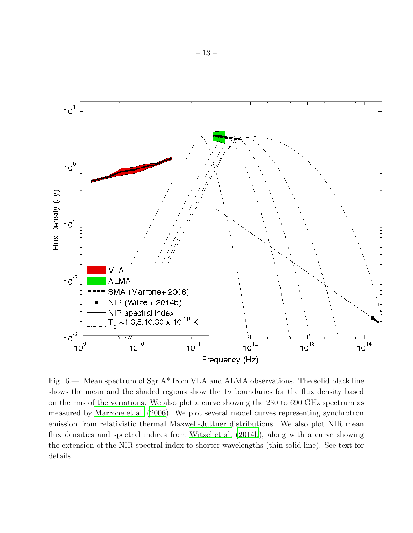

<span id="page-12-0"></span>Fig. 6.— Mean spectrum of Sgr A\* from VLA and ALMA observations. The solid black line shows the mean and the shaded regions show the  $1\sigma$  boundaries for the flux density based on the rms of the variations. We also plot a curve showing the 230 to 690 GHz spectrum as measured by [Marrone et al. \(2006\)](#page-24-12). We plot several model curves representing synchrotron emission from relativistic thermal Maxwell-Juttner distributions. We also plot NIR mean flux densities and spectral indices from [Witzel et al. \(2014b\)](#page-26-6), along with a curve showing the extension of the NIR spectral index to shorter wavelengths (thin solid line). See text for details.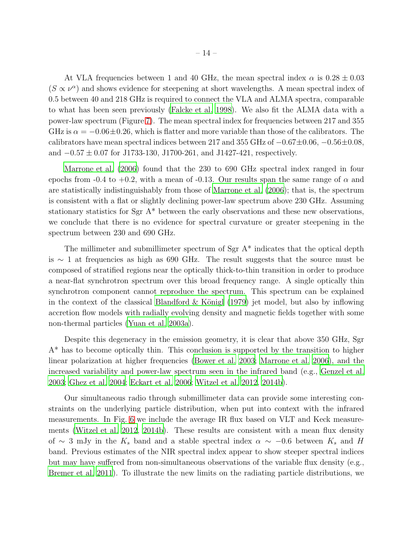At VLA frequencies between 1 and 40 GHz, the mean spectral index  $\alpha$  is  $0.28 \pm 0.03$  $(S \propto \nu^{\alpha})$  and shows evidence for steepening at short wavelengths. A mean spectral index of 0.5 between 40 and 218 GHz is required to connect the VLA and ALMA spectra, comparable to what has been seen previously [\(Falcke et al. 1998](#page-23-4)). We also fit the ALMA data with a power-law spectrum (Figure [7\)](#page-14-0). The mean spectral index for frequencies between 217 and 355 GHz is  $\alpha = -0.06 \pm 0.26$ , which is flatter and more variable than those of the calibrators. The calibrators have mean spectral indices between 217 and 355 GHz of  $-0.67\pm0.06$ ,  $-0.56\pm0.08$ , and  $-0.57 \pm 0.07$  for J1733-130, J1700-261, and J1427-421, respectively.

[Marrone et al. \(2006\)](#page-24-12) found that the 230 to 690 GHz spectral index ranged in four epochs from -0.4 to +0.2, with a mean of -0.13. Our results span the same range of  $\alpha$  and are statistically indistinguishably from those of [Marrone et al. \(2006\)](#page-24-12); that is, the spectrum is consistent with a flat or slightly declining power-law spectrum above 230 GHz. Assuming stationary statistics for Sgr A\* between the early observations and these new observations, we conclude that there is no evidence for spectral curvature or greater steepening in the spectrum between 230 and 690 GHz.

The millimeter and submillimeter spectrum of Sgr A\* indicates that the optical depth is ∼ 1 at frequencies as high as 690 GHz. The result suggests that the source must be composed of stratified regions near the optically thick-to-thin transition in order to produce a near-flat synchrotron spectrum over this broad frequency range. A single optically thin synchrotron component cannot reproduce the spectrum. This spectrum can be explained in the context of the classical Blandford  $\&$  Königl (1979) jet model, but also by inflowing accretion flow models with radially evolving density and magnetic fields together with some non-thermal particles [\(Yuan et al. 2003a\)](#page-26-7).

Despite this degeneracy in the emission geometry, it is clear that above 350 GHz, Sgr A\* has to become optically thin. This conclusion is supported by the transition to higher linear polarization at higher frequencies [\(Bower et al. 2003;](#page-22-9) [Marrone et al. 2006](#page-24-12)), and the increased variability and power-law spectrum seen in the infrared band (e.g., [Genzel et al.](#page-23-5) [2003;](#page-23-5) [Ghez et al. 2004;](#page-23-6) [Eckart et al. 2006;](#page-23-7) [Witzel et al. 2012,](#page-26-1) [2014b\)](#page-26-6).

Our simultaneous radio through submillimeter data can provide some interesting constraints on the underlying particle distribution, when put into context with the infrared measurements. In Fig. [6](#page-12-0) we include the average IR flux based on VLT and Keck measurements [\(Witzel et al. 2012,](#page-26-1) [2014b](#page-26-6)). These results are consistent with a mean flux density of ∼ 3 mJy in the  $K_s$  band and a stable spectral index  $\alpha \sim -0.6$  between  $K_s$  and H band. Previous estimates of the NIR spectral index appear to show steeper spectral indices but may have suffered from non-simultaneous observations of the variable flux density (e.g., [Bremer et al. 2011](#page-22-10)). To illustrate the new limits on the radiating particle distributions, we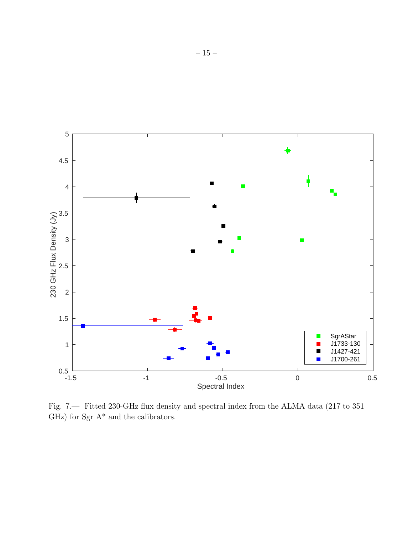

<span id="page-14-0"></span>Fig. 7.— Fitted 230-GHz flux density and spectral index from the ALMA data (217 to 351 GHz) for Sgr  $\mathbf{A}^{*}$  and the calibrators.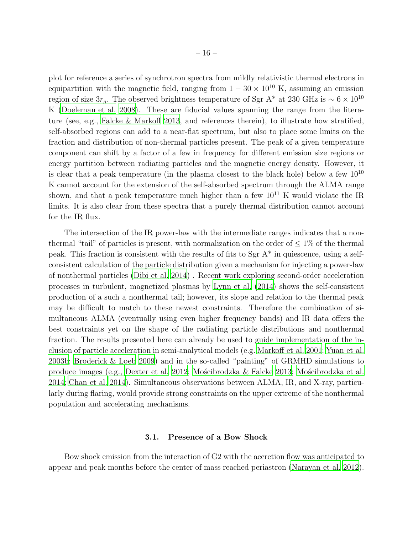plot for reference a series of synchrotron spectra from mildly relativistic thermal electrons in equipartition with the magnetic field, ranging from  $1 - 30 \times 10^{10}$  K, assuming an emission region of size  $3r_g$ . The observed brightness temperature of Sgr A\* at 230 GHz is ~ 6 × 10<sup>10</sup> K [\(Doeleman et al. 2008\)](#page-23-8). These are fiducial values spanning the range from the literature (see, e.g., [Falcke & Markoff 2013,](#page-23-1) and references therein), to illustrate how stratified, self-absorbed regions can add to a near-flat spectrum, but also to place some limits on the fraction and distribution of non-thermal particles present. The peak of a given temperature component can shift by a factor of a few in frequency for different emission size regions or energy partition between radiating particles and the magnetic energy density. However, it is clear that a peak temperature (in the plasma closest to the black hole) below a few  $10^{10}$ K cannot account for the extension of the self-absorbed spectrum through the ALMA range shown, and that a peak temperature much higher than a few  $10^{11}$  K would violate the IR limits. It is also clear from these spectra that a purely thermal distribution cannot account for the IR flux.

The intersection of the IR power-law with the intermediate ranges indicates that a nonthermal "tail" of particles is present, with normalization on the order of  $\leq 1\%$  of the thermal peak. This fraction is consistent with the results of fits to Sgr  $A^*$  in quiescence, using a selfconsistent calculation of the particle distribution given a mechanism for injecting a power-law of nonthermal particles [\(Dibi et al. 2014](#page-22-11)) . Recent work exploring second-order acceleration processes in turbulent, magnetized plasmas by [Lynn et al. \(2014](#page-24-13)) shows the self-consistent production of a such a nonthermal tail; however, its slope and relation to the thermal peak may be difficult to match to these newest constraints. Therefore the combination of simultaneous ALMA (eventually using even higher frequency bands) and IR data offers the best constraints yet on the shape of the radiating particle distributions and nonthermal fraction. The results presented here can already be used to guide implementation of the inclusion of particle acceleration in semi-analytical models (e.g. [Markoff](#page-24-14) et al. [2001](#page-24-14); [Yuan et al.](#page-26-8) [2003b;](#page-26-8) [Broderick & Loeb 2009](#page-22-12)) and in the so-called "painting" of GRMHD simulations to produce images (e.g., [Dexter et al. 2012](#page-22-13); [Mo´scibrodzka & Falcke 2013](#page-25-11); [Mo´scibrodzka et al.](#page-25-12) [2014;](#page-25-12) [Chan et al. 2014\)](#page-22-14). Simultaneous observations between ALMA, IR, and X-ray, particularly during flaring, would provide strong constraints on the upper extreme of the nonthermal population and accelerating mechanisms.

## 3.1. Presence of a Bow Shock

Bow shock emission from the interaction of G2 with the accretion flow was anticipated to appear and peak months before the center of mass reached periastron [\(Narayan et al. 2012](#page-25-10)).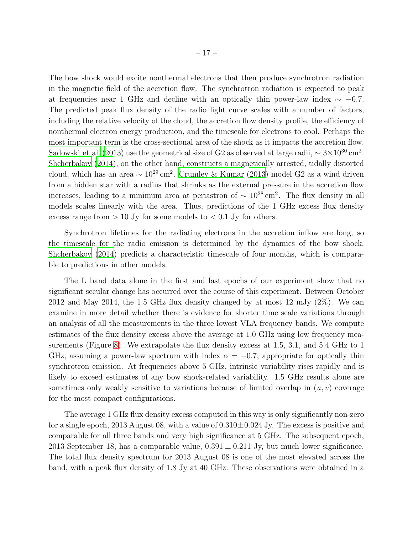The bow shock would excite nonthermal electrons that then produce synchrotron radiation in the magnetic field of the accretion flow. The synchrotron radiation is expected to peak at frequencies near 1 GHz and decline with an optically thin power-law index  $\sim -0.7$ . The predicted peak flux density of the radio light curve scales with a number of factors, including the relative velocity of the cloud, the accretion flow density profile, the efficiency of nonthermal electron energy production, and the timescale for electrons to cool. Perhaps the most important term is the cross-sectional area of the shock as it impacts the accretion flow. Sądowski et al. (2013) use the geometrical size of G2 as observed at large radii,  $\sim 3 \times 10^{30} \text{ cm}^2$ . [Shcherbakov \(2014\)](#page-26-9), on the other hand, constructs a magnetically arrested, tidally distorted cloud, which has an area  $\sim 10^{29}$  cm<sup>2</sup>. [Crumley & Kumar \(2013\)](#page-22-15) model G2 as a wind driven from a hidden star with a radius that shrinks as the external pressure in the accretion flow increases, leading to a minimum area at periastron of  $\sim 10^{28}$  cm<sup>2</sup>. The flux density in all models scales linearly with the area. Thus, predictions of the 1 GHz excess flux density excess range from  $> 10$  Jy for some models to  $< 0.1$  Jy for others.

Synchrotron lifetimes for the radiating electrons in the accretion inflow are long, so the timescale for the radio emission is determined by the dynamics of the bow shock. [Shcherbakov \(2014\)](#page-26-9) predicts a characteristic timescale of four months, which is comparable to predictions in other models.

The L band data alone in the first and last epochs of our experiment show that no significant secular change has occurred over the course of this experiment. Between October 2012 and May 2014, the 1.5 GHz flux density changed by at most 12 mJy (2%). We can examine in more detail whether there is evidence for shorter time scale variations through an analysis of all the measurements in the three lowest VLA frequency bands. We compute estimates of the flux density excess above the average at 1.0 GHz using low frequency measurements (Figure [8\)](#page-17-0). We extrapolate the flux density excess at 1.5, 3.1, and 5.4 GHz to 1 GHz, assuming a power-law spectrum with index  $\alpha = -0.7$ , appropriate for optically thin synchrotron emission. At frequencies above 5 GHz, intrinsic variability rises rapidly and is likely to exceed estimates of any bow shock-related variability. 1.5 GHz results alone are sometimes only weakly sensitive to variations because of limited overlap in  $(u, v)$  coverage for the most compact configurations.

The average 1 GHz flux density excess computed in this way is only significantly non-zero for a single epoch, 2013 August 08, with a value of  $0.310\pm0.024$  Jy. The excess is positive and comparable for all three bands and very high significance at 5 GHz. The subsequent epoch, 2013 September 18, has a comparable value,  $0.391 \pm 0.211$  Jy, but much lower significance. The total flux density spectrum for 2013 August 08 is one of the most elevated across the band, with a peak flux density of 1.8 Jy at 40 GHz. These observations were obtained in a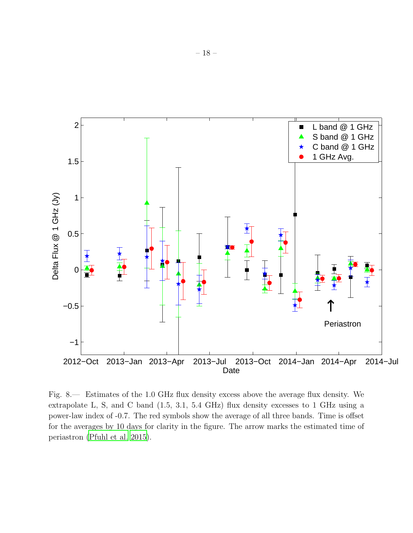

<span id="page-17-0"></span>Fig. 8.— Estimates of the 1.0 GHz flux density excess above the average flux density. We extrapolate L, S, and C band (1.5, 3.1, 5.4 GHz) flux density excesses to 1 GHz using a power-law index of -0.7. The red symbols show the average of all three bands. Time is offset for the averages by 10 days for clarity in the figure. The arrow marks the estimated time of periastron [\(Pfuhl et al. 2015](#page-25-1)).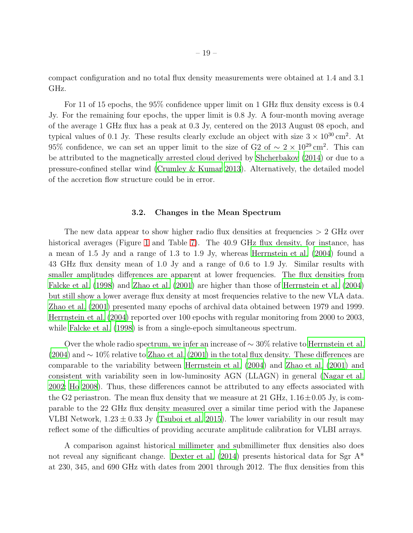compact configuration and no total flux density measurements were obtained at 1.4 and 3.1 GHz.

For 11 of 15 epochs, the 95% confidence upper limit on 1 GHz flux density excess is 0.4 Jy. For the remaining four epochs, the upper limit is 0.8 Jy. A four-month moving average of the average 1 GHz flux has a peak at 0.3 Jy, centered on the 2013 August 08 epoch, and typical values of 0.1 Jy. These results clearly exclude an object with size  $3 \times 10^{30}$  cm<sup>2</sup>. At 95% confidence, we can set an upper limit to the size of G2 of  $\sim 2 \times 10^{29}$  cm<sup>2</sup>. This can be attributed to the magnetically arrested cloud derived by [Shcherbakov \(2014](#page-26-9)) or due to a pressure-confined stellar wind [\(Crumley & Kumar 2013](#page-22-15)). Alternatively, the detailed model of the accretion flow structure could be in error.

## 3.2. Changes in the Mean Spectrum

The new data appear to show higher radio flux densities at frequencies > 2 GHz over historical averages (Figure [1](#page-5-0) and Table [7\)](#page-42-0). The 40.9 GHz flux density, for instance, has a mean of 1.5 Jy and a range of 1.3 to 1.9 Jy, whereas [Herrnstein et al.](#page-24-9) [\(2004](#page-24-9)) found a 43 GHz flux density mean of 1.0 Jy and a range of 0.6 to 1.9 Jy. Similar results with smaller amplitudes differences are apparent at lower frequencies. The flux densities from [Falcke et al. \(1998\)](#page-23-4) and [Zhao et al. \(2001](#page-26-4)) are higher than those of [Herrnstein et al. \(2004\)](#page-24-9) but still show a lower average flux density at most frequencies relative to the new VLA data. [Zhao et al. \(2001\)](#page-26-4) presented many epochs of archival data obtained between 1979 and 1999. [Herrnstein et al. \(2004\)](#page-24-9) reported over 100 epochs with regular monitoring from 2000 to 2003, while [Falcke et al. \(1998](#page-23-4)) is from a single-epoch simultaneous spectrum.

Over the whole radio spectrum, we infer an increase of ∼ 30% relative to [Herrnstein et al.](#page-24-9) [\(2004\)](#page-24-9) and ∼ 10% relative to [Zhao et al. \(2001](#page-26-4)) in the total flux density. These differences are comparable to the variability between [Herrnstein et al. \(2004\)](#page-24-9) and [Zhao et al. \(2001\)](#page-26-4) and consistent with variability seen in low-luminosity AGN (LLAGN) in general [\(Nagar et al.](#page-25-14) [2002;](#page-25-14) [Ho 2008\)](#page-24-15). Thus, these differences cannot be attributed to any effects associated with the G2 periastron. The mean flux density that we measure at 21 GHz,  $1.16\pm0.05$  Jy, is comparable to the 22 GHz flux density measured over a similar time period with the Japanese VLBI Network,  $1.23 \pm 0.33$  Jy [\(Tsuboi et al. 2015](#page-26-2)). The lower variability in our result may reflect some of the difficulties of providing accurate amplitude calibration for VLBI arrays.

A comparison against historical millimeter and submillimeter flux densities also does not reveal any significant change. Dexter et al.  $(2014)$  presents historical data for Sgr A<sup>\*</sup> at 230, 345, and 690 GHz with dates from 2001 through 2012. The flux densities from this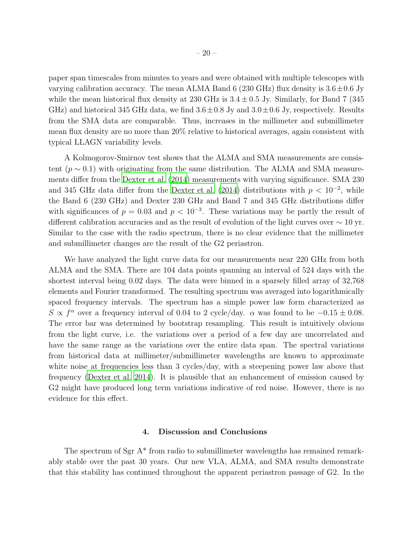paper span timescales from minutes to years and were obtained with multiple telescopes with varying calibration accuracy. The mean ALMA Band 6 (230 GHz) flux density is  $3.6 \pm 0.6$  Jy while the mean historical flux density at 230 GHz is  $3.4 \pm 0.5$  Jy. Similarly, for Band 7 (345) GHz) and historical 345 GHz data, we find  $3.6 \pm 0.8$  Jy and  $3.0 \pm 0.6$  Jy, respectively. Results from the SMA data are comparable. Thus, increases in the millimeter and submillimeter mean flux density are no more than 20% relative to historical averages, again consistent with typical LLAGN variability levels.

A Kolmogorov-Smirnov test shows that the ALMA and SMA measurements are consistent ( $p \sim 0.1$ ) with originating from the same distribution. The ALMA and SMA measurements differ from the [Dexter et al. \(2014](#page-22-1)) measurements with varying significance. SMA 230 and 345 GHz data differ from the [Dexter et al. \(2014](#page-22-1)) distributions with  $p < 10^{-2}$ , while the Band 6 (230 GHz) and Dexter 230 GHz and Band 7 and 345 GHz distributions differ with significances of  $p = 0.03$  and  $p < 10^{-3}$ . These variations may be partly the result of different calibration accuracies and as the result of evolution of the light curves over ∼ 10 yr. Similar to the case with the radio spectrum, there is no clear evidence that the millimeter and submillimeter changes are the result of the G2 periastron.

We have analyzed the light curve data for our measurements near 220 GHz from both ALMA and the SMA. There are 104 data points spanning an interval of 524 days with the shortest interval being 0.02 days. The data were binned in a sparsely filled array of 32,768 elements and Fourier transformed. The resulting spectrum was averaged into logarithmically spaced frequency intervals. The spectrum has a simple power law form characterized as S  $\propto f^{\alpha}$  over a frequency interval of 0.04 to 2 cycle/day.  $\alpha$  was found to be  $-0.15 \pm 0.08$ . The error bar was determined by bootstrap resampling. This result is intuitively obvious from the light curve, i.e. the variations over a period of a few day are uncorrelated and have the same range as the variations over the entire data span. The spectral variations from historical data at millimeter/submillimeter wavelengths are known to approximate white noise at frequencies less than 3 cycles/day, with a steepening power law above that frequency [\(Dexter et al. 2014\)](#page-22-1). It is plausible that an enhancement of emission caused by G2 might have produced long term variations indicative of red noise. However, there is no evidence for this effect.

## 4. Discussion and Conclusions

<span id="page-19-0"></span>The spectrum of Sgr A\* from radio to submillimeter wavelengths has remained remarkably stable over the past 30 years. Our new VLA, ALMA, and SMA results demonstrate that this stability has continued throughout the apparent periastron passage of G2. In the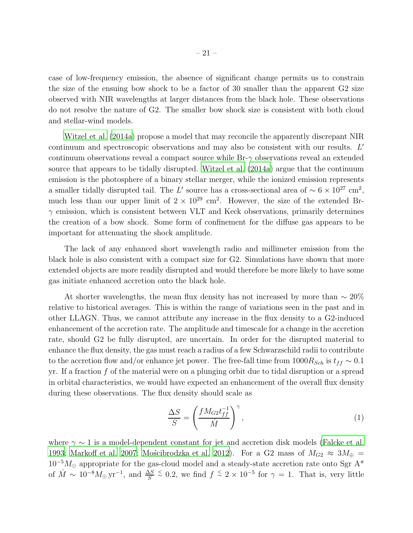case of low-frequency emission, the absence of significant change permits us to constrain the size of the ensuing bow shock to be a factor of 30 smaller than the apparent G2 size observed with NIR wavelengths at larger distances from the black hole. These observations do not resolve the nature of G2. The smaller bow shock size is consistent with both cloud and stellar-wind models.

[Witzel et al. \(2014a\)](#page-26-0) propose a model that may reconcile the apparently discrepant NIR continuum and spectroscopic observations and may also be consistent with our results.  $L'$ continuum observations reveal a compact source while  $Br-\gamma$  observations reveal an extended source that appears to be tidally disrupted. [Witzel et al. \(2014a\)](#page-26-0) argue that the continuum emission is the photosphere of a binary stellar merger, while the ionized emission represents a smaller tidally disrupted tail. The L' source has a cross-sectional area of  $\sim 6 \times 10^{27}$  cm<sup>2</sup>, much less than our upper limit of  $2 \times 10^{29}$  cm<sup>2</sup>. However, the size of the extended Br- $\gamma$  emission, which is consistent between VLT and Keck observations, primarily determines the creation of a bow shock. Some form of confinement for the diffuse gas appears to be important for attenuating the shock amplitude.

The lack of any enhanced short wavelength radio and millimeter emission from the black hole is also consistent with a compact size for G2. Simulations have shown that more extended objects are more readily disrupted and would therefore be more likely to have some gas initiate enhanced accretion onto the black hole.

At shorter wavelengths, the mean flux density has not increased by more than  $\sim 20\%$ relative to historical averages. This is within the range of variations seen in the past and in other LLAGN. Thus, we cannot attribute any increase in the flux density to a G2-induced enhancement of the accretion rate. The amplitude and timescale for a change in the accretion rate, should G2 be fully disrupted, are uncertain. In order for the disrupted material to enhance the flux density, the gas must reach a radius of a few Schwarzschild radii to contribute to the accretion flow and/or enhance jet power. The free-fall time from  $1000R_{Sch}$  is  $t_{ff} \sim 0.1$ yr. If a fraction  $f$  of the material were on a plunging orbit due to tidal disruption or a spread in orbital characteristics, we would have expected an enhancement of the overall flux density during these observations. The flux density should scale as

$$
\frac{\Delta S}{S} = \left(\frac{fM_{G2}t_{ff}^{-1}}{\dot{M}}\right)^{\gamma},\tag{1}
$$

where  $\gamma \sim 1$  is a model-dependent constant for jet and accretion disk models [\(Falcke et al.](#page-23-3) [1993;](#page-23-3) [Markoff et al. 2007;](#page-24-8) Mościbrodzka et al. 2012). For a G2 mass of  $M_{G2} \approx 3M_{\oplus}$  =  $10^{-5}M_{\odot}$  appropriate for the gas-cloud model and a steady-state accretion rate onto Sgr A<sup>\*</sup> of  $\dot{M} \sim 10^{-8} M_{\odot} \,\text{yr}^{-1}$ , and  $\frac{\Delta S}{S}$  $\frac{5}{1}$  Ω, we find  $f \stackrel{5}{\sim} 2 \times 10^{-5}$  for  $\gamma = 1$ . That is, very little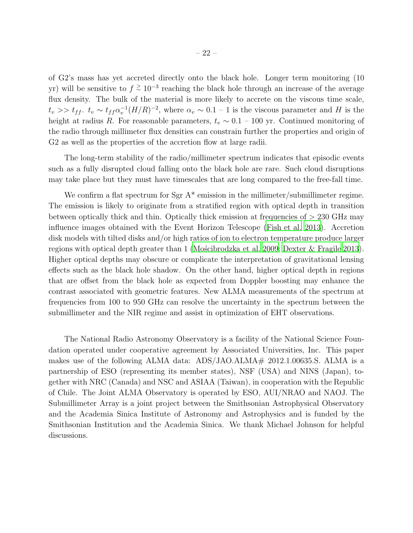of G2's mass has yet accreted directly onto the black hole. Longer term monitoring (10 yr) will be sensitive to  $f \stackrel{\ge}{\sim} 10^{-3}$  reaching the black hole through an increase of the average flux density. The bulk of the material is more likely to accrete on the viscous time scale,  $t_v >> t_{ff}$ .  $t_v \sim t_{ff} \alpha_v^{-1} (H/R)^{-2}$ , where  $\alpha_v \sim 0.1 - 1$  is the viscous parameter and H is the height at radius R. For reasonable parameters,  $t_v \sim 0.1 - 100$  yr. Continued monitoring of the radio through millimeter flux densities can constrain further the properties and origin of G2 as well as the properties of the accretion flow at large radii.

The long-term stability of the radio/millimeter spectrum indicates that episodic events such as a fully disrupted cloud falling onto the black hole are rare. Such cloud disruptions may take place but they must have timescales that are long compared to the free-fall time.

We confirm a flat spectrum for Sgr  $A^*$  emission in the millimeter/submillimeter regime. The emission is likely to originate from a stratified region with optical depth in transition between optically thick and thin. Optically thick emission at frequencies of > 230 GHz may influence images obtained with the Event Horizon Telescope [\(Fish et al. 2013\)](#page-23-9). Accretion disk models with tilted disks and/or high ratios of ion to electron temperature produce larger regions with optical depth greater than 1 (Moscibrodzka et al. 2009; [Dexter & Fragile 2013](#page-22-16)). Higher optical depths may obscure or complicate the interpretation of gravitational lensing effects such as the black hole shadow. On the other hand, higher optical depth in regions that are offset from the black hole as expected from Doppler boosting may enhance the contrast associated with geometric features. New ALMA measurements of the spectrum at frequencies from 100 to 950 GHz can resolve the uncertainty in the spectrum between the submillimeter and the NIR regime and assist in optimization of EHT observations.

The National Radio Astronomy Observatory is a facility of the National Science Foundation operated under cooperative agreement by Associated Universities, Inc. This paper makes use of the following ALMA data:  $ADS/JAO.ALMA# 2012.1.00635.S. ALMA$  is a partnership of ESO (representing its member states), NSF (USA) and NINS (Japan), together with NRC (Canada) and NSC and ASIAA (Taiwan), in cooperation with the Republic of Chile. The Joint ALMA Observatory is operated by ESO, AUI/NRAO and NAOJ. The Submillimeter Array is a joint project between the Smithsonian Astrophysical Observatory and the Academia Sinica Institute of Astronomy and Astrophysics and is funded by the Smithsonian Institution and the Academia Sinica. We thank Michael Johnson for helpful discussions.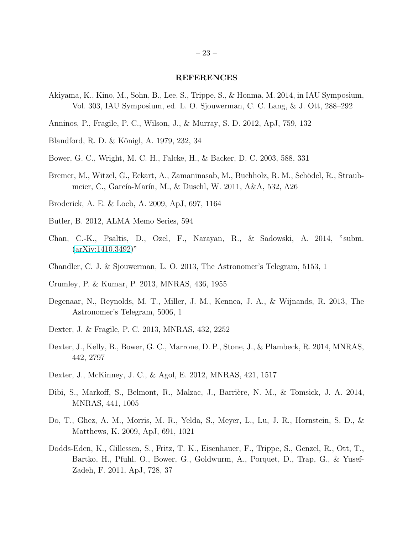## REFERENCES

- <span id="page-22-4"></span>Akiyama, K., Kino, M., Sohn, B., Lee, S., Trippe, S., & Honma, M. 2014, in IAU Symposium, Vol. 303, IAU Symposium, ed. L. O. Sjouwerman, C. C. Lang, & J. Ott, 288–292
- <span id="page-22-0"></span>Anninos, P., Fragile, P. C., Wilson, J., & Murray, S. D. 2012, ApJ, 759, 132
- <span id="page-22-8"></span>Blandford, R. D. & Königl, A. 1979, 232, 34
- <span id="page-22-9"></span>Bower, G. C., Wright, M. C. H., Falcke, H., & Backer, D. C. 2003, 588, 331
- <span id="page-22-10"></span>Bremer, M., Witzel, G., Eckart, A., Zamaninasab, M., Buchholz, R. M., Schödel, R., Straubmeier, C., García-Marín, M., & Duschl, W. 2011, A&A, 532, A26
- <span id="page-22-12"></span>Broderick, A. E. & Loeb, A. 2009, ApJ, 697, 1164
- <span id="page-22-7"></span>Butler, B. 2012, ALMA Memo Series, 594
- <span id="page-22-14"></span>Chan, C.-K., Psaltis, D., Ozel, F., Narayan, R., & Sadowski, A. 2014, "subm.  $(axXiv:1410.3492)$ "
- <span id="page-22-6"></span>Chandler, C. J. & Sjouwerman, L. O. 2013, The Astronomer's Telegram, 5153, 1
- <span id="page-22-15"></span>Crumley, P. & Kumar, P. 2013, MNRAS, 436, 1955
- <span id="page-22-5"></span>Degenaar, N., Reynolds, M. T., Miller, J. M., Kennea, J. A., & Wijnands, R. 2013, The Astronomer's Telegram, 5006, 1
- <span id="page-22-16"></span>Dexter, J. & Fragile, P. C. 2013, MNRAS, 432, 2252
- <span id="page-22-1"></span>Dexter, J., Kelly, B., Bower, G. C., Marrone, D. P., Stone, J., & Plambeck, R. 2014, MNRAS, 442, 2797
- <span id="page-22-13"></span>Dexter, J., McKinney, J. C., & Agol, E. 2012, MNRAS, 421, 1517
- <span id="page-22-11"></span>Dibi, S., Markoff, S., Belmont, R., Malzac, J., Barrière, N. M., & Tomsick, J. A. 2014, MNRAS, 441, 1005
- <span id="page-22-2"></span>Do, T., Ghez, A. M., Morris, M. R., Yelda, S., Meyer, L., Lu, J. R., Hornstein, S. D., & Matthews, K. 2009, ApJ, 691, 1021
- <span id="page-22-3"></span>Dodds-Eden, K., Gillessen, S., Fritz, T. K., Eisenhauer, F., Trippe, S., Genzel, R., Ott, T., Bartko, H., Pfuhl, O., Bower, G., Goldwurm, A., Porquet, D., Trap, G., & Yusef-Zadeh, F. 2011, ApJ, 728, 37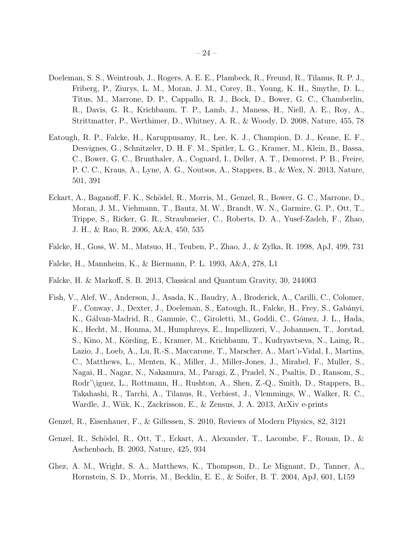- <span id="page-23-8"></span>Doeleman, S. S., Weintroub, J., Rogers, A. E. E., Plambeck, R., Freund, R., Tilanus, R. P. J., Friberg, P., Ziurys, L. M., Moran, J. M., Corey, B., Young, K. H., Smythe, D. L., Titus, M., Marrone, D. P., Cappallo, R. J., Bock, D., Bower, G. C., Chamberlin, R., Davis, G. R., Krichbaum, T. P., Lamb, J., Maness, H., Niell, A. E., Roy, A., Strittmatter, P., Werthimer, D., Whitney, A. R., & Woody, D. 2008, Nature, 455, 78
- <span id="page-23-2"></span>Eatough, R. P., Falcke, H., Karuppusamy, R., Lee, K. J., Champion, D. J., Keane, E. F., Desvignes, G., Schnitzeler, D. H. F. M., Spitler, L. G., Kramer, M., Klein, B., Bassa, C., Bower, G. C., Brunthaler, A., Cognard, I., Deller, A. T., Demorest, P. B., Freire, P. C. C., Kraus, A., Lyne, A. G., Noutsos, A., Stappers, B., & Wex, N. 2013, Nature, 501, 391
- <span id="page-23-7"></span>Eckart, A., Baganoff, F. K., Schödel, R., Morris, M., Genzel, R., Bower, G. C., Marrone, D., Moran, J. M., Viehmann, T., Bautz, M. W., Brandt, W. N., Garmire, G. P., Ott, T., Trippe, S., Ricker, G. R., Straubmeier, C., Roberts, D. A., Yusef-Zadeh, F., Zhao, J. H., & Rao, R. 2006, A&A, 450, 535
- <span id="page-23-4"></span>Falcke, H., Goss, W. M., Matsuo, H., Teuben, P., Zhao, J., & Zylka, R. 1998, ApJ, 499, 731
- <span id="page-23-3"></span>Falcke, H., Mannheim, K., & Biermann, P. L. 1993, A&A, 278, L1
- <span id="page-23-1"></span>Falcke, H. & Markoff, S. B. 2013, Classical and Quantum Gravity, 30, 244003
- <span id="page-23-9"></span>Fish, V., Alef, W., Anderson, J., Asada, K., Baudry, A., Broderick, A., Carilli, C., Colomer, F., Conway, J., Dexter, J., Doeleman, S., Eatough, R., Falcke, H., Frey, S., Gab´anyi, K., Gálvan-Madrid, R., Gammie, C., Giroletti, M., Goddi, C., Gómez, J. L., Hada, K., Hecht, M., Honma, M., Humphreys, E., Impellizzeri, V., Johannsen, T., Jorstad, S., Kino, M., Körding, E., Kramer, M., Krichbaum, T., Kudryavtseva, N., Laing, R., Lazio, J., Loeb, A., Lu, R.-S., Maccarone, T., Marscher, A., Mart'ı-Vidal, I., Martins, C., Matthews, L., Menten, K., Miller, J., Miller-Jones, J., Mirabel, F., Muller, S., Nagai, H., Nagar, N., Nakamura, M., Paragi, Z., Pradel, N., Psaltis, D., Ransom, S., Rodr'\iguez, L., Rottmann, H., Rushton, A., Shen, Z.-Q., Smith, D., Stappers, B., Takahashi, R., Tarchi, A., Tilanus, R., Verbiest, J., Vlemmings, W., Walker, R. C., Wardle, J., Wiik, K., Zackrisson, E., & Zensus, J. A. 2013, ArXiv e-prints
- <span id="page-23-0"></span>Genzel, R., Eisenhauer, F., & Gillessen, S. 2010, Reviews of Modern Physics, 82, 3121
- <span id="page-23-5"></span>Genzel, R., Schödel, R., Ott, T., Eckart, A., Alexander, T., Lacombe, F., Rouan, D., & Aschenbach, B. 2003, Nature, 425, 934
- <span id="page-23-6"></span>Ghez, A. M., Wright, S. A., Matthews, K., Thompson, D., Le Mignant, D., Tanner, A., Hornstein, S. D., Morris, M., Becklin, E. E., & Soifer, B. T. 2004, ApJ, 601, L159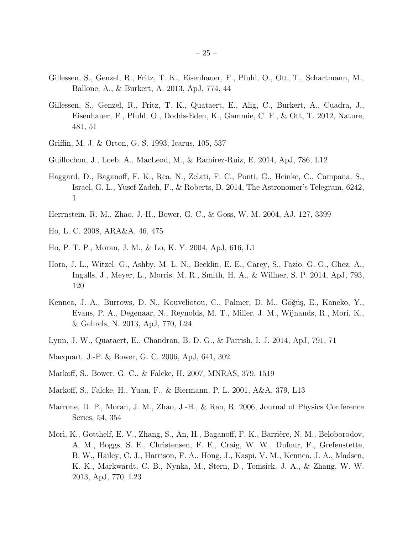- <span id="page-24-1"></span>Gillessen, S., Genzel, R., Fritz, T. K., Eisenhauer, F., Pfuhl, O., Ott, T., Schartmann, M., Ballone, A., & Burkert, A. 2013, ApJ, 774, 44
- <span id="page-24-0"></span>Gillessen, S., Genzel, R., Fritz, T. K., Quataert, E., Alig, C., Burkert, A., Cuadra, J., Eisenhauer, F., Pfuhl, O., Dodds-Eden, K., Gammie, C. F., & Ott, T. 2012, Nature, 481, 51
- <span id="page-24-11"></span>Griffin, M. J. & Orton, G. S. 1993, Icarus, 105, 537
- <span id="page-24-2"></span>Guillochon, J., Loeb, A., MacLeod, M., & Ramirez-Ruiz, E. 2014, ApJ, 786, L12
- <span id="page-24-4"></span>Haggard, D., Baganoff, F. K., Rea, N., Zelati, F. C., Ponti, G., Heinke, C., Campana, S., Israel, G. L., Yusef-Zadeh, F., & Roberts, D. 2014, The Astronomer's Telegram, 6242, 1
- <span id="page-24-9"></span>Herrnstein, R. M., Zhao, J.-H., Bower, G. C., & Goss, W. M. 2004, AJ, 127, 3399
- <span id="page-24-15"></span>Ho, L. C. 2008, ARA&A, 46, 475
- <span id="page-24-10"></span>Ho, P. T. P., Moran, J. M., & Lo, K. Y. 2004, ApJ, 616, L1
- <span id="page-24-5"></span>Hora, J. L., Witzel, G., Ashby, M. L. N., Becklin, E. E., Carey, S., Fazio, G. G., Ghez, A., Ingalls, J., Meyer, L., Morris, M. R., Smith, H. A., & Willner, S. P. 2014, ApJ, 793, 120
- <span id="page-24-6"></span>Kennea, J. A., Burrows, D. N., Kouveliotou, C., Palmer, D. M., Göğüş, E., Kaneko, Y., Evans, P. A., Degenaar, N., Reynolds, M. T., Miller, J. M., Wijnands, R., Mori, K., & Gehrels, N. 2013, ApJ, 770, L24
- <span id="page-24-13"></span>Lynn, J. W., Quataert, E., Chandran, B. D. G., & Parrish, I. J. 2014, ApJ, 791, 71
- <span id="page-24-3"></span>Macquart, J.-P. & Bower, G. C. 2006, ApJ, 641, 302
- <span id="page-24-8"></span>Markoff, S., Bower, G. C., & Falcke, H. 2007, MNRAS, 379, 1519
- <span id="page-24-14"></span>Markoff, S., Falcke, H., Yuan, F., & Biermann, P. L. 2001, A&A, 379, L13
- <span id="page-24-12"></span>Marrone, D. P., Moran, J. M., Zhao, J.-H., & Rao, R. 2006, Journal of Physics Conference Series, 54, 354
- <span id="page-24-7"></span>Mori, K., Gotthelf, E. V., Zhang, S., An, H., Baganoff, F. K., Barrière, N. M., Beloborodov, A. M., Boggs, S. E., Christensen, F. E., Craig, W. W., Dufour, F., Grefenstette, B. W., Hailey, C. J., Harrison, F. A., Hong, J., Kaspi, V. M., Kennea, J. A., Madsen, K. K., Markwardt, C. B., Nynka, M., Stern, D., Tomsick, J. A., & Zhang, W. W. 2013, ApJ, 770, L23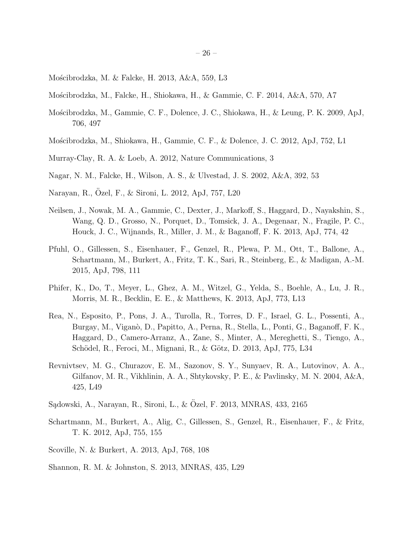- <span id="page-25-11"></span>Mościbrodzka, M. & Falcke, H. 2013, A&A, 559, L3
- <span id="page-25-12"></span>Mo´scibrodzka, M., Falcke, H., Shiokawa, H., & Gammie, C. F. 2014, A&A, 570, A7
- <span id="page-25-15"></span>Mościbrodzka, M., Gammie, C. F., Dolence, J. C., Shiokawa, H., & Leung, P. K. 2009, ApJ, 706, 497
- <span id="page-25-9"></span>Mościbrodzka, M., Shiokawa, H., Gammie, C. F., & Dolence, J. C. 2012, ApJ, 752, L1
- <span id="page-25-3"></span>Murray-Clay, R. A. & Loeb, A. 2012, Nature Communications, 3
- <span id="page-25-14"></span>Nagar, N. M., Falcke, H., Wilson, A. S., & Ulvestad, J. S. 2002, A&A, 392, 53
- <span id="page-25-10"></span>Narayan, R., Ozel, F., & Sironi, L. 2012, ApJ, 757, L20 ¨
- <span id="page-25-6"></span>Neilsen, J., Nowak, M. A., Gammie, C., Dexter, J., Markoff, S., Haggard, D., Nayakshin, S., Wang, Q. D., Grosso, N., Porquet, D., Tomsick, J. A., Degenaar, N., Fragile, P. C., Houck, J. C., Wijnands, R., Miller, J. M., & Baganoff, F. K. 2013, ApJ, 774, 42
- <span id="page-25-1"></span>Pfuhl, O., Gillessen, S., Eisenhauer, F., Genzel, R., Plewa, P. M., Ott, T., Ballone, A., Schartmann, M., Burkert, A., Fritz, T. K., Sari, R., Steinberg, E., & Madigan, A.-M. 2015, ApJ, 798, 111
- <span id="page-25-0"></span>Phifer, K., Do, T., Meyer, L., Ghez, A. M., Witzel, G., Yelda, S., Boehle, A., Lu, J. R., Morris, M. R., Becklin, E. E., & Matthews, K. 2013, ApJ, 773, L13
- <span id="page-25-7"></span>Rea, N., Esposito, P., Pons, J. A., Turolla, R., Torres, D. F., Israel, G. L., Possenti, A., Burgay, M., Viganò, D., Papitto, A., Perna, R., Stella, L., Ponti, G., Baganoff, F. K., Haggard, D., Camero-Arranz, A., Zane, S., Minter, A., Mereghetti, S., Tiengo, A., Schödel, R., Feroci, M., Mignani, R., & Götz, D. 2013, ApJ, 775, L34
- <span id="page-25-5"></span>Revnivtsev, M. G., Churazov, E. M., Sazonov, S. Y., Sunyaev, R. A., Lutovinov, A. A., Gilfanov, M. R., Vikhlinin, A. A., Shtykovsky, P. E., & Pavlinsky, M. N. 2004, A&A, 425, L49
- <span id="page-25-13"></span>Sądowski, A., Narayan, R., Sironi, L., & Özel, F. 2013, MNRAS, 433, 2165
- <span id="page-25-2"></span>Schartmann, M., Burkert, A., Alig, C., Gillessen, S., Genzel, R., Eisenhauer, F., & Fritz, T. K. 2012, ApJ, 755, 155
- <span id="page-25-4"></span>Scoville, N. & Burkert, A. 2013, ApJ, 768, 108
- <span id="page-25-8"></span>Shannon, R. M. & Johnston, S. 2013, MNRAS, 435, L29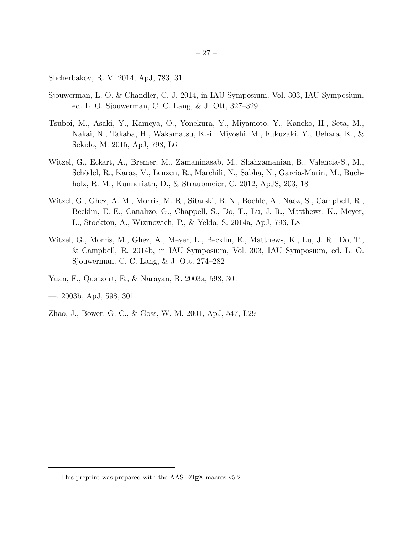<span id="page-26-9"></span>Shcherbakov, R. V. 2014, ApJ, 783, 31

- <span id="page-26-3"></span>Sjouwerman, L. O. & Chandler, C. J. 2014, in IAU Symposium, Vol. 303, IAU Symposium, ed. L. O. Sjouwerman, C. C. Lang, & J. Ott, 327–329
- <span id="page-26-2"></span>Tsuboi, M., Asaki, Y., Kameya, O., Yonekura, Y., Miyamoto, Y., Kaneko, H., Seta, M., Nakai, N., Takaba, H., Wakamatsu, K.-i., Miyoshi, M., Fukuzaki, Y., Uehara, K., & Sekido, M. 2015, ApJ, 798, L6
- <span id="page-26-1"></span>Witzel, G., Eckart, A., Bremer, M., Zamaninasab, M., Shahzamanian, B., Valencia-S., M., Schödel, R., Karas, V., Lenzen, R., Marchili, N., Sabha, N., Garcia-Marin, M., Buchholz, R. M., Kunneriath, D., & Straubmeier, C. 2012, ApJS, 203, 18
- <span id="page-26-0"></span>Witzel, G., Ghez, A. M., Morris, M. R., Sitarski, B. N., Boehle, A., Naoz, S., Campbell, R., Becklin, E. E., Canalizo, G., Chappell, S., Do, T., Lu, J. R., Matthews, K., Meyer, L., Stockton, A., Wizinowich, P., & Yelda, S. 2014a, ApJ, 796, L8
- <span id="page-26-6"></span>Witzel, G., Morris, M., Ghez, A., Meyer, L., Becklin, E., Matthews, K., Lu, J. R., Do, T., & Campbell, R. 2014b, in IAU Symposium, Vol. 303, IAU Symposium, ed. L. O. Sjouwerman, C. C. Lang, & J. Ott, 274–282
- <span id="page-26-7"></span>Yuan, F., Quataert, E., & Narayan, R. 2003a, 598, 301
- <span id="page-26-8"></span>—. 2003b, ApJ, 598, 301
- <span id="page-26-4"></span>Zhao, J., Bower, G. C., & Goss, W. M. 2001, ApJ, 547, L29

<span id="page-26-5"></span>This preprint was prepared with the AAS IATEX macros v5.2.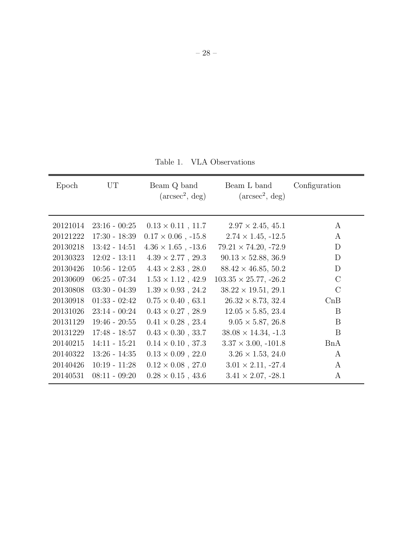<span id="page-27-0"></span>Table 1. VLA Observations

| Epoch    | UT              | Beam Q band<br>$(\text{arcsec}^2, \text{deg})$ | Beam L band<br>$(\text{arcsec}^2, \text{deg})$ | Configuration |
|----------|-----------------|------------------------------------------------|------------------------------------------------|---------------|
| 20121014 | $23:16 - 00:25$ | $0.13 \times 0.11$ , 11.7                      | $2.97 \times 2.45, 45.1$                       | A             |
| 20121222 | $17:30 - 18:39$ | $0.17 \times 0.06$ , -15.8                     | $2.74 \times 1.45, -12.5$                      | A             |
| 20130218 | $13:42 - 14:51$ | $4.36 \times 1.65$ , -13.6                     | $79.21 \times 74.20, -72.9$                    | D             |
| 20130323 | $12:02 - 13:11$ | $4.39 \times 2.77$ , 29.3                      | $90.13 \times 52.88, 36.9$                     | D             |
| 20130426 | $10:56 - 12:05$ | $4.43 \times 2.83$ , 28.0                      | $88.42 \times 46.85, 50.2$                     | D             |
| 20130609 | $06:25 - 07:34$ | $1.53 \times 1.12$ , 42.9                      | $103.35 \times 25.77, -26.2$                   | $\rm C$       |
| 20130808 | $03:30 - 04:39$ | $1.39 \times 0.93$ , 24.2                      | $38.22 \times 19.51, 29.1$                     | $\rm C$       |
| 20130918 | $01:33 - 02:42$ | $0.75 \times 0.40$ , 63.1                      | $26.32 \times 8.73, 32.4$                      | CnB           |
| 20131026 | $23:14 - 00:24$ | $0.43 \times 0.27$ , 28.9                      | $12.05 \times 5.85, 23.4$                      | B             |
| 20131129 | $19:46 - 20:55$ | $0.41 \times 0.28$ , 23.4                      | $9.05 \times 5.87, 26.8$                       | B             |
| 20131229 | $17:48 - 18:57$ | $0.43 \times 0.30$ , 33.7                      | $38.08 \times 14.34, -1.3$                     | B             |
| 20140215 | $14:11 - 15:21$ | $0.14 \times 0.10$ , 37.3                      | $3.37 \times 3.00, -101.8$                     | BnA           |
| 20140322 | $13:26 - 14:35$ | $0.13 \times 0.09$ , 22.0                      | $3.26 \times 1.53$ , 24.0                      | $\rm{A}$      |
| 20140426 | $10:19 - 11:28$ | $0.12 \times 0.08$ , 27.0                      | $3.01 \times 2.11, -27.4$                      | $\rm{A}$      |
| 20140531 | $08:11 - 09:20$ | $0.28 \times 0.15$ , 43.6                      | $3.41 \times 2.07, -28.1$                      | A             |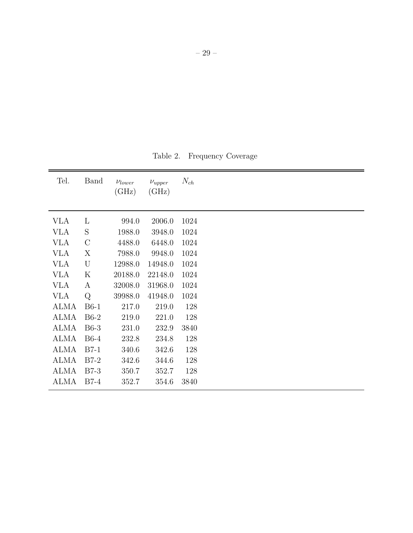<span id="page-28-0"></span>Table 2. Frequency Coverage

| Tel.        | <b>Band</b>   | $\nu_{lower}$<br>(GHz) | $\nu_{upper}$<br>(GHz) | $N_{ch}$ |
|-------------|---------------|------------------------|------------------------|----------|
|             |               |                        |                        |          |
| <b>VLA</b>  | L             | 994.0                  | 2006.0                 | 1024     |
| <b>VLA</b>  | S             | 1988.0                 | 3948.0                 | 1024     |
| <b>VLA</b>  | $\mathcal{C}$ | 4488.0                 | 6448.0                 | 1024     |
| <b>VLA</b>  | X             | 7988.0                 | 9948.0                 | 1024     |
| <b>VLA</b>  | U             | 12988.0                | 14948.0                | 1024     |
| <b>VLA</b>  | K             | 20188.0                | 22148.0                | 1024     |
| <b>VLA</b>  | A             | 32008.0                | 31968.0                | 1024     |
| <b>VLA</b>  | Q             | 39988.0                | 41948.0                | 1024     |
| <b>ALMA</b> | $B6-1$        | 217.0                  | 219.0                  | 128      |
| <b>ALMA</b> | $B6-2$        | 219.0                  | 221.0                  | 128      |
| <b>ALMA</b> | $B6-3$        | 231.0                  | 232.9                  | 3840     |
| <b>ALMA</b> | $B6-4$        | 232.8                  | 234.8                  | 128      |
| <b>ALMA</b> | $B7-1$        | 340.6                  | 342.6                  | 128      |
| <b>ALMA</b> | $B7-2$        | 342.6                  | 344.6                  | 128      |
| <b>ALMA</b> | $B7-3$        | 350.7                  | 352.7                  | 128      |
| <b>ALMA</b> | $B7-4$        | 352.7                  | 354.6                  | 3840     |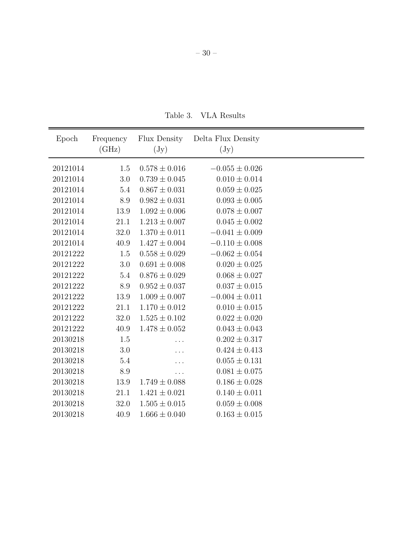<span id="page-29-0"></span>Table 3. VLA Results

| Epoch    | Frequency | Flux Density      | Delta Flux Density |  |
|----------|-----------|-------------------|--------------------|--|
|          | (GHz)     | $(\mathrm{Jy})$   | $(\mathrm{Jy})$    |  |
|          |           |                   |                    |  |
| 20121014 | 1.5       | $0.578 \pm 0.016$ | $-0.055 \pm 0.026$ |  |
| 20121014 | 3.0       | $0.739 \pm 0.045$ | $0.010 \pm 0.014$  |  |
| 20121014 | 5.4       | $0.867 \pm 0.031$ | $0.059 \pm 0.025$  |  |
| 20121014 | 8.9       | $0.982 \pm 0.031$ | $0.093 \pm 0.005$  |  |
| 20121014 | 13.9      | $1.092 \pm 0.006$ | $0.078 \pm 0.007$  |  |
| 20121014 | 21.1      | $1.213 \pm 0.007$ | $0.045 \pm 0.002$  |  |
| 20121014 | 32.0      | $1.370 \pm 0.011$ | $-0.041 \pm 0.009$ |  |
| 20121014 | 40.9      | $1.427 \pm 0.004$ | $-0.110 \pm 0.008$ |  |
| 20121222 | 1.5       | $0.558 \pm 0.029$ | $-0.062 \pm 0.054$ |  |
| 20121222 | 3.0       | $0.691 \pm 0.008$ | $0.020 \pm 0.025$  |  |
| 20121222 | 5.4       | $0.876 \pm 0.029$ | $0.068 \pm 0.027$  |  |
| 20121222 | 8.9       | $0.952 \pm 0.037$ | $0.037 \pm 0.015$  |  |
| 20121222 | 13.9      | $1.009 \pm 0.007$ | $-0.004 \pm 0.011$ |  |
| 20121222 | 21.1      | $1.170 \pm 0.012$ | $0.010 \pm 0.015$  |  |
| 20121222 | 32.0      | $1.525 \pm 0.102$ | $0.022 \pm 0.020$  |  |
| 20121222 | 40.9      | $1.478 \pm 0.052$ | $0.043 \pm 0.043$  |  |
| 20130218 | 1.5       |                   | $0.202 \pm 0.317$  |  |
| 20130218 | 3.0       |                   | $0.424 \pm 0.413$  |  |
| 20130218 | 5.4       |                   | $0.055 \pm 0.131$  |  |
| 20130218 | 8.9       | .                 | $0.081 \pm 0.075$  |  |
| 20130218 | 13.9      | $1.749 \pm 0.088$ | $0.186 \pm 0.028$  |  |
| 20130218 | 21.1      | $1.421 \pm 0.021$ | $0.140 \pm 0.011$  |  |
|          |           |                   |                    |  |
| 20130218 | 32.0      | $1.505 \pm 0.015$ | $0.059 \pm 0.008$  |  |
| 20130218 | 40.9      | $1.666 \pm 0.040$ | $0.163 \pm 0.015$  |  |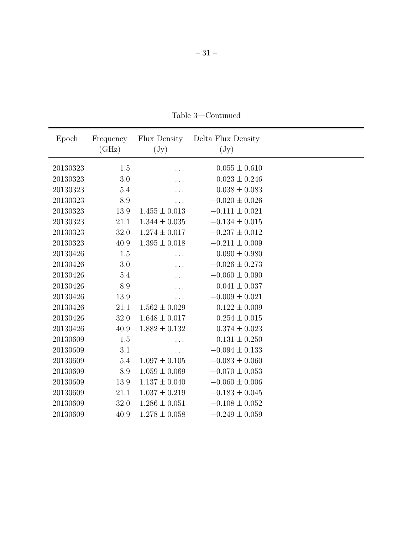| Epoch    | Frequency | Flux Density      | Delta Flux Density |  |
|----------|-----------|-------------------|--------------------|--|
|          | (GHz)     | $(\mathrm{Jy})$   | $(\mathrm{Jy})$    |  |
|          |           |                   |                    |  |
| 20130323 | 1.5       |                   | $0.055 \pm 0.610$  |  |
| 20130323 | 3.0       |                   | $0.023 \pm 0.246$  |  |
| 20130323 | 5.4       |                   | $0.038 \pm 0.083$  |  |
| 20130323 | 8.9       |                   | $-0.020 \pm 0.026$ |  |
| 20130323 | 13.9      | $1.455 \pm 0.013$ | $-0.111 \pm 0.021$ |  |
| 20130323 | 21.1      | $1.344 \pm 0.035$ | $-0.134 \pm 0.015$ |  |
| 20130323 | 32.0      | $1.274 \pm 0.017$ | $-0.237 \pm 0.012$ |  |
| 20130323 | 40.9      | $1.395 \pm 0.018$ | $-0.211 \pm 0.009$ |  |
| 20130426 | 1.5       |                   | $0.090 \pm 0.980$  |  |
| 20130426 | 3.0       |                   | $-0.026 \pm 0.273$ |  |
| 20130426 | 5.4       |                   | $-0.060 \pm 0.090$ |  |
| 20130426 | 8.9       |                   | $0.041 \pm 0.037$  |  |
| 20130426 | 13.9      |                   | $-0.009 \pm 0.021$ |  |
| 20130426 | 21.1      | $1.562 \pm 0.029$ | $0.122 \pm 0.009$  |  |
| 20130426 | 32.0      | $1.648 \pm 0.017$ | $0.254 \pm 0.015$  |  |
| 20130426 | 40.9      | $1.882 \pm 0.132$ | $0.374 \pm 0.023$  |  |
| 20130609 | 1.5       |                   | $0.131 \pm 0.250$  |  |
| 20130609 | 3.1       |                   | $-0.094 \pm 0.133$ |  |
| 20130609 | 5.4       | $1.097 \pm 0.105$ | $-0.083 \pm 0.060$ |  |
| 20130609 | 8.9       | $1.059 \pm 0.069$ | $-0.070 \pm 0.053$ |  |
| 20130609 | 13.9      | $1.137 \pm 0.040$ | $-0.060 \pm 0.006$ |  |
| 20130609 | 21.1      | $1.037 \pm 0.219$ | $-0.183 \pm 0.045$ |  |
| 20130609 | 32.0      | $1.286 \pm 0.051$ | $-0.108 \pm 0.052$ |  |
| 20130609 | 40.9      | $1.278 \pm 0.058$ | $-0.249 \pm 0.059$ |  |

Table 3—Continued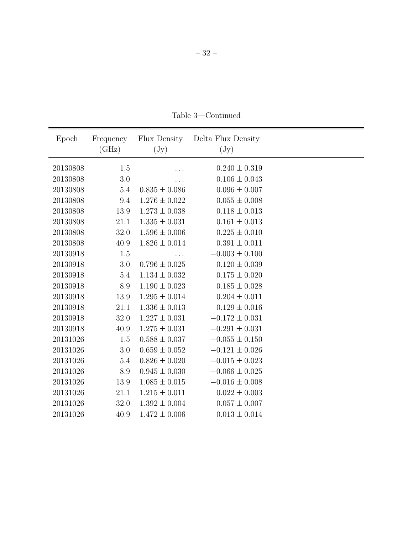– 32 –

Table 3—Continued

| Epoch    | Frequency | Flux Density      | Delta Flux Density |  |
|----------|-----------|-------------------|--------------------|--|
|          | (GHz)     | $(\mathrm{Jy})$   | $(\mathrm{Jy})$    |  |
| 20130808 | 1.5       |                   | $0.240 \pm 0.319$  |  |
| 20130808 | 3.0       | .                 | $0.106 \pm 0.043$  |  |
| 20130808 | 5.4       | $0.835 \pm 0.086$ | $0.096 \pm 0.007$  |  |
| 20130808 | 9.4       | $1.276 \pm 0.022$ | $0.055 \pm 0.008$  |  |
| 20130808 | 13.9      | $1.273 \pm 0.038$ | $0.118 \pm 0.013$  |  |
| 20130808 | 21.1      | $1.335 \pm 0.031$ | $0.161 \pm 0.013$  |  |
| 20130808 | 32.0      | $1.596 \pm 0.006$ | $0.225 \pm 0.010$  |  |
| 20130808 | 40.9      | $1.826 \pm 0.014$ | $0.391 \pm 0.011$  |  |
| 20130918 | 1.5       |                   | $-0.003 \pm 0.100$ |  |
| 20130918 | 3.0       | $0.796 \pm 0.025$ | $0.120 \pm 0.039$  |  |
| 20130918 | 5.4       | $1.134 \pm 0.032$ | $0.175 \pm 0.020$  |  |
| 20130918 | 8.9       | $1.190 \pm 0.023$ | $0.185 \pm 0.028$  |  |
| 20130918 | 13.9      | $1.295 \pm 0.014$ | $0.204 \pm 0.011$  |  |
| 20130918 | 21.1      | $1.336 \pm 0.013$ | $0.129 \pm 0.016$  |  |
| 20130918 | 32.0      | $1.227 \pm 0.031$ | $-0.172 \pm 0.031$ |  |
| 20130918 | 40.9      | $1.275 \pm 0.031$ | $-0.291 \pm 0.031$ |  |
| 20131026 | 1.5       | $0.588 \pm 0.037$ | $-0.055 \pm 0.150$ |  |
| 20131026 | 3.0       | $0.659 \pm 0.052$ | $-0.121 \pm 0.026$ |  |
| 20131026 | 5.4       | $0.826 \pm 0.020$ | $-0.015 \pm 0.023$ |  |
| 20131026 | 8.9       | $0.945 \pm 0.030$ | $-0.066 \pm 0.025$ |  |
| 20131026 | 13.9      | $1.085 \pm 0.015$ | $-0.016 \pm 0.008$ |  |
| 20131026 | 21.1      | $1.215 \pm 0.011$ | $0.022 \pm 0.003$  |  |
| 20131026 | 32.0      | $1.392 \pm 0.004$ | $0.057 \pm 0.007$  |  |
| 20131026 | 40.9      | $1.472 \pm 0.006$ | $0.013 \pm 0.014$  |  |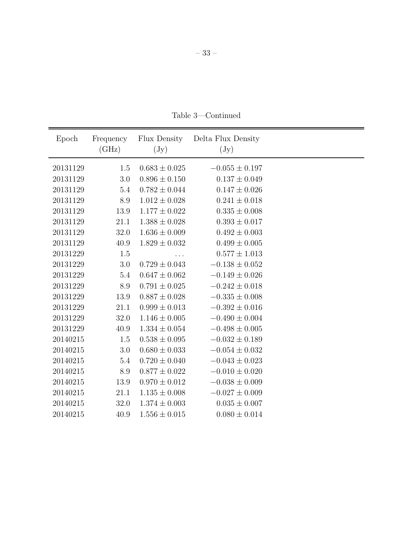Table 3—Continued

| Epoch    | Frequency | Flux Density      | Delta Flux Density |  |
|----------|-----------|-------------------|--------------------|--|
|          | (GHz)     | $(\mathrm{Jy})$   | $(\mathrm{Jy})$    |  |
|          |           |                   |                    |  |
| 20131129 | 1.5       | $0.683 \pm 0.025$ | $-0.055 \pm 0.197$ |  |
| 20131129 | 3.0       | $0.896 \pm 0.150$ | $0.137 \pm 0.049$  |  |
| 20131129 | 5.4       | $0.782 \pm 0.044$ | $0.147 \pm 0.026$  |  |
| 20131129 | 8.9       | $1.012 \pm 0.028$ | $0.241 \pm 0.018$  |  |
| 20131129 | 13.9      | $1.177 \pm 0.022$ | $0.335 \pm 0.008$  |  |
| 20131129 | 21.1      | $1.388 \pm 0.028$ | $0.393 \pm 0.017$  |  |
| 20131129 | 32.0      | $1.636 \pm 0.009$ | $0.492 \pm 0.003$  |  |
| 20131129 | 40.9      | $1.829 \pm 0.032$ | $0.499 \pm 0.005$  |  |
| 20131229 | 1.5       | .                 | $0.577 \pm 1.013$  |  |
| 20131229 | $3.0\,$   | $0.729 \pm 0.043$ | $-0.138 \pm 0.052$ |  |
| 20131229 | 5.4       | $0.647 \pm 0.062$ | $-0.149 \pm 0.026$ |  |
| 20131229 | 8.9       | $0.791 \pm 0.025$ | $-0.242 \pm 0.018$ |  |
| 20131229 | 13.9      | $0.887 \pm 0.028$ | $-0.335 \pm 0.008$ |  |
| 20131229 | 21.1      | $0.999 \pm 0.013$ | $-0.392 \pm 0.016$ |  |
| 20131229 | 32.0      | $1.146 \pm 0.005$ | $-0.490 \pm 0.004$ |  |
| 20131229 | 40.9      | $1.334 \pm 0.054$ | $-0.498 \pm 0.005$ |  |
| 20140215 | 1.5       | $0.538 \pm 0.095$ | $-0.032 \pm 0.189$ |  |
| 20140215 | 3.0       | $0.680 \pm 0.033$ | $-0.054 \pm 0.032$ |  |
| 20140215 | 5.4       | $0.720 \pm 0.040$ | $-0.043 \pm 0.023$ |  |
| 20140215 | 8.9       | $0.877\pm0.022$   | $-0.010 \pm 0.020$ |  |
| 20140215 | 13.9      | $0.970 \pm 0.012$ | $-0.038 \pm 0.009$ |  |
| 20140215 | 21.1      | $1.135 \pm 0.008$ | $-0.027 \pm 0.009$ |  |
| 20140215 | 32.0      | $1.374 \pm 0.003$ | $0.035 \pm 0.007$  |  |
| 20140215 | 40.9      | $1.556 \pm 0.015$ | $0.080 \pm 0.014$  |  |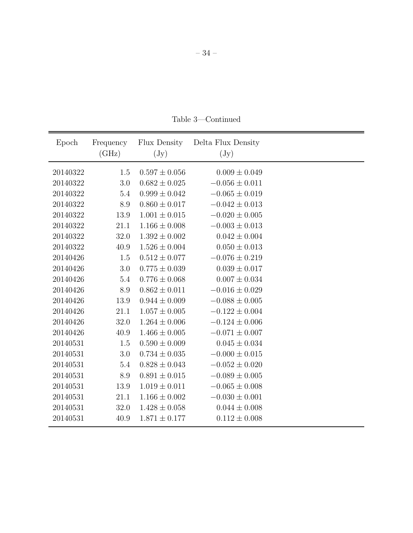| Epoch    | Frequency<br>(GHz) | Flux Density<br>$(\mathrm{Jy})$ | Delta Flux Density<br>$(\mathrm{Jy})$ |  |
|----------|--------------------|---------------------------------|---------------------------------------|--|
| 20140322 | 1.5                | $0.597 \pm 0.056$               | $0.009 \pm 0.049$                     |  |
| 20140322 | 3.0                | $0.682 \pm 0.025$               | $-0.056 \pm 0.011$                    |  |
| 20140322 | 5.4                | $0.999 \pm 0.042$               | $-0.065 \pm 0.019$                    |  |
| 20140322 | 8.9                | $0.860 \pm 0.017$               | $-0.042 \pm 0.013$                    |  |
| 20140322 | 13.9               | $1.001 \pm 0.015$               | $-0.020 \pm 0.005$                    |  |
| 20140322 | 21.1               | $1.166 \pm 0.008$               | $-0.003 \pm 0.013$                    |  |
| 20140322 | 32.0               | $1.392 \pm 0.002$               | $0.042 \pm 0.004$                     |  |
| 20140322 | 40.9               | $1.526 \pm 0.004$               | $0.050 \pm 0.013$                     |  |
| 20140426 | 1.5                | $0.512 \pm 0.077$               | $-0.076 \pm 0.219$                    |  |
| 20140426 | 3.0                | $0.775 \pm 0.039$               | $0.039 \pm 0.017$                     |  |
| 20140426 | 5.4                | $0.776 \pm 0.068$               | $0.007 \pm 0.034$                     |  |
| 20140426 | 8.9                | $0.862 \pm 0.011$               | $-0.016 \pm 0.029$                    |  |
| 20140426 | 13.9               | $0.944 \pm 0.009$               | $-0.088 \pm 0.005$                    |  |
| 20140426 | 21.1               | $1.057 \pm 0.005$               | $-0.122 \pm 0.004$                    |  |
| 20140426 | 32.0               | $1.264 \pm 0.006$               | $-0.124 \pm 0.006$                    |  |
| 20140426 | 40.9               | $1.466 \pm 0.005$               | $-0.071 \pm 0.007$                    |  |
| 20140531 | 1.5                | $0.590 \pm 0.009$               | $0.045 \pm 0.034$                     |  |
| 20140531 | 3.0                | $0.734 \pm 0.035$               | $-0.000 \pm 0.015$                    |  |
| 20140531 | 5.4                | $0.828 \pm 0.043$               | $-0.052 \pm 0.020$                    |  |
| 20140531 | 8.9                | $0.891 \pm 0.015$               | $-0.089 \pm 0.005$                    |  |
| 20140531 | 13.9               | $1.019 \pm 0.011$               | $-0.065 \pm 0.008$                    |  |
| 20140531 | 21.1               | $1.166 \pm 0.002$               | $-0.030 \pm 0.001$                    |  |
| 20140531 | 32.0               | $1.428 \pm 0.058$               | $0.044 \pm 0.008$                     |  |
| 20140531 | 40.9               | $1.871 \pm 0.177$               | $0.112 \pm 0.008$                     |  |

Table 3—Continued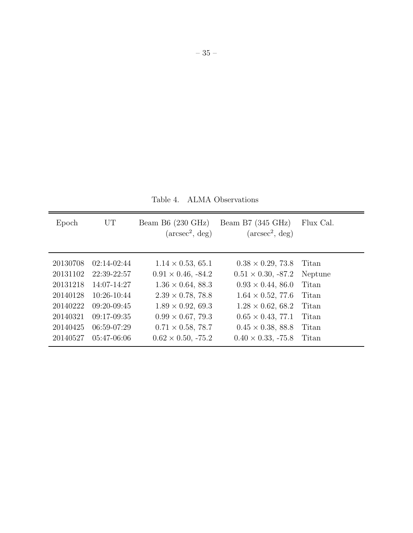<span id="page-34-0"></span>Table 4. ALMA Observations

| Epoch                                                                            | UT                                                                                                                | Beam B6 $(230 \text{ GHz})$<br>$(\text{arcsec}^2, \text{deg})$                                                                                                                                     | Beam B7 $(345 \text{ GHz})$<br>$(\text{arcsec}^2, \text{deg})$                                                                                                                                    | Flux Cal.                                                     |
|----------------------------------------------------------------------------------|-------------------------------------------------------------------------------------------------------------------|----------------------------------------------------------------------------------------------------------------------------------------------------------------------------------------------------|---------------------------------------------------------------------------------------------------------------------------------------------------------------------------------------------------|---------------------------------------------------------------|
| 20130708<br>20131102<br>20131218<br>20140128<br>20140222<br>20140321<br>20140425 | $02:14-02:44$<br>22:39-22:57<br>$14:07-14:27$<br>$10:26-10:44$<br>$09:20-09:45$<br>$09:17-09:35$<br>$06:59-07:29$ | $1.14 \times 0.53, 65.1$<br>$0.91 \times 0.46, -84.2$<br>$1.36 \times 0.64, 88.3$<br>$2.39 \times 0.78$ , 78.8<br>$1.89 \times 0.92, 69.3$<br>$0.99 \times 0.67, 79.3$<br>$0.71 \times 0.58, 78.7$ | $0.38 \times 0.29, 73.8$<br>$0.51 \times 0.30, -87.2$<br>$0.93 \times 0.44, 86.0$<br>$1.64 \times 0.52, 77.6$<br>$1.28 \times 0.62, 68.2$<br>$0.65 \times 0.43, 77.1$<br>$0.45 \times 0.38, 88.8$ | Titan<br>Neptune<br>Titan<br>Titan<br>Titan<br>Titan<br>Titan |
| 20140527                                                                         | 05:47-06:06                                                                                                       | $0.62 \times 0.50, -75.2$                                                                                                                                                                          | $0.40 \times 0.33$ , -75.8                                                                                                                                                                        | Titan                                                         |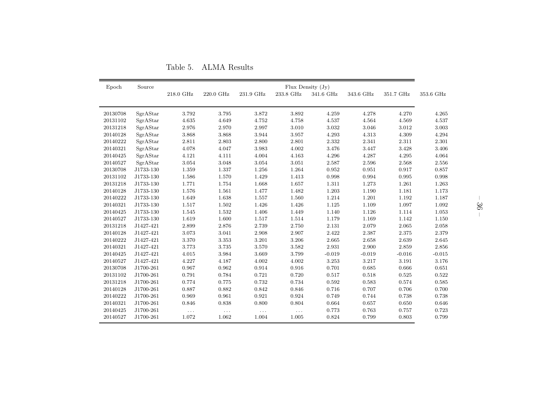| Epoch    | Source    | Flux Density $(Jy)$ |           |           |           |           |           |           |           |
|----------|-----------|---------------------|-----------|-----------|-----------|-----------|-----------|-----------|-----------|
|          |           | 218.0 GHz           | 220.0 GHz | 231.9 GHz | 233.8 GHz | 341.6 GHz | 343.6 GHz | 351.7 GHz | 353.6 GHz |
|          |           |                     |           |           |           |           |           |           |           |
| 20130708 | SgrAStar  | 3.792               | 3.795     | 3.872     | 3.892     | 4.259     | 4.278     | 4.270     | 4.265     |
| 20131102 | SgrAStar  | 4.635               | 4.649     | 4.752     | 4.758     | 4.537     | 4.564     | 4.569     | 4.537     |
| 20131218 | SgrAStar  | 2.976               | 2.970     | 2.997     | 3.010     | 3.032     | 3.046     | 3.012     | 3.003     |
| 20140128 | SgrAStar  | 3.868               | 3.868     | 3.944     | 3.957     | 4.293     | 4.313     | 4.309     | 4.294     |
| 20140222 | SgrAStar  | 2.811               | 2.803     | 2.800     | 2.801     | 2.332     | 2.341     | 2.311     | 2.301     |
| 20140321 | SgrAStar  | 4.078               | 4.047     | 3.983     | 4.002     | 3.476     | 3.447     | 3.428     | 3.406     |
| 20140425 | SgrAStar  | 4.121               | 4.111     | 4.004     | 4.163     | 4.296     | 4.287     | 4.295     | 4.064     |
| 20140527 | SgrAStar  | 3.054               | 3.048     | 3.054     | 3.051     | 2.587     | 2.596     | 2.568     | 2.556     |
| 20130708 | J1733-130 | 1.359               | 1.337     | 1.256     | 1.264     | 0.952     | 0.951     | 0.917     | 0.857     |
| 20131102 | J1733-130 | 1.586               | 1.570     | 1.429     | 1.413     | 0.998     | 0.994     | 0.995     | 0.998     |
| 20131218 | J1733-130 | 1.771               | 1.754     | 1.668     | 1.657     | 1.311     | 1.273     | 1.261     | 1.263     |
| 20140128 | J1733-130 | 1.576               | 1.561     | 1.477     | 1.482     | 1.203     | 1.190     | 1.181     | 1.173     |
| 20140222 | J1733-130 | 1.649               | 1.638     | 1.557     | 1.560     | 1.214     | 1.201     | 1.192     | 1.187     |
| 20140321 | J1733-130 | 1.517               | 1.502     | 1.426     | 1.426     | 1.125     | 1.109     | 1.097     | 1.092     |
| 20140425 | J1733-130 | 1.545               | 1.532     | 1.406     | 1.449     | 1.140     | 1.126     | 1.114     | 1.053     |
| 20140527 | J1733-130 | 1.619               | 1.600     | 1.517     | 1.514     | 1.179     | 1.169     | 1.142     | 1.150     |
| 20131218 | J1427-421 | 2.899               | 2.876     | 2.739     | 2.750     | 2.131     | 2.079     | 2.065     | 2.058     |
| 20140128 | J1427-421 | 3.073               | 3.041     | 2.908     | 2.907     | 2.422     | 2.387     | 2.375     | 2.379     |
| 20140222 | J1427-421 | 3.370               | 3.353     | 3.201     | 3.206     | 2.665     | 2.658     | 2.639     | 2.645     |
| 20140321 | J1427-421 | 3.773               | 3.735     | 3.570     | 3.582     | 2.931     | 2.900     | 2.859     | 2.856     |
| 20140425 | J1427-421 | 4.015               | 3.984     | 3.669     | 3.799     | $-0.019$  | $-0.019$  | $-0.016$  | $-0.015$  |
| 20140527 | J1427-421 | 4.227               | 4.187     | 4.002     | 4.002     | 3.253     | 3.217     | 3.191     | 3.176     |
| 20130708 | J1700-261 | 0.967               | 0.962     | 0.914     | 0.916     | 0.701     | 0.685     | 0.666     | 0.651     |
| 20131102 | J1700-261 | 0.791               | 0.784     | 0.721     | 0.720     | 0.517     | 0.518     | 0.525     | 0.522     |
| 20131218 | J1700-261 | 0.774               | 0.775     | 0.732     | 0.734     | 0.592     | 0.583     | 0.574     | 0.585     |
| 20140128 | J1700-261 | 0.887               | 0.882     | 0.842     | 0.846     | 0.716     | 0.707     | 0.706     | 0.700     |
| 20140222 | J1700-261 | 0.969               | 0.961     | 0.921     | 0.924     | 0.749     | 0.744     | 0.738     | 0.738     |
| 20140321 | J1700-261 | 0.846               | 0.838     | 0.800     | 0.804     | 0.664     | 0.657     | 0.650     | 0.646     |
| 20140425 | J1700-261 | $\cdots$            | $\cdots$  | $\cdots$  | $\ldots$  | 0.773     | 0.763     | 0.757     | 0.723     |
| 20140527 | J1700-261 | 1.072               | 1.062     | 1.004     | 1.005     | 0.824     | 0.799     | 0.803     | 0.799     |

Table 5. ALMA Results

<span id="page-35-0"></span>– 36 –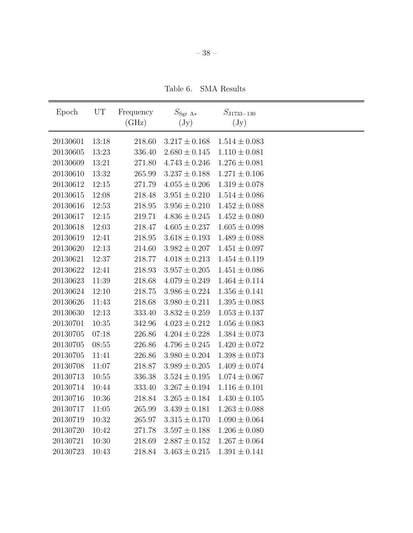<span id="page-37-0"></span>Table 6. SMA Results

| Epoch    | UT    | Frequency | $S_{\rm Sgr\ A*}$ | $S_{\rm J1733-130}$ |  |
|----------|-------|-----------|-------------------|---------------------|--|
|          |       | (GHz)     | $(\mathrm{Jy})$   | $(\mathrm{Jy})$     |  |
| 20130601 | 13:18 | 218.60    | $3.217 \pm 0.168$ | $1.514 \pm 0.083$   |  |
| 20130605 | 13:23 | 336.40    | $2.680 \pm 0.145$ | $1.110 \pm 0.081$   |  |
| 20130609 | 13:21 | 271.80    | $4.743 \pm 0.246$ | $1.276 \pm 0.081$   |  |
| 20130610 | 13:32 | 265.99    | $3.237 \pm 0.188$ | $1.271 \pm 0.106$   |  |
| 20130612 | 12:15 | 271.79    | $4.055 \pm 0.206$ | $1.319 \pm 0.078$   |  |
| 20130615 | 12:08 | 218.48    | $3.951 \pm 0.210$ | $1.514 \pm 0.086$   |  |
| 20130616 | 12:53 | 218.95    | $3.956 \pm 0.210$ | $1.452 \pm 0.088$   |  |
| 20130617 | 12:15 | 219.71    | $4.836 \pm 0.245$ | $1.452\pm0.080$     |  |
| 20130618 | 12:03 | 218.47    | $4.605 \pm 0.237$ | $1.605 \pm 0.098$   |  |
| 20130619 | 12:41 | 218.95    | $3.618 \pm 0.193$ | $1.489 \pm 0.088$   |  |
| 20130620 | 12:13 | 214.60    | $3.982 \pm 0.207$ | $1.451 \pm 0.097$   |  |
| 20130621 | 12:37 | 218.77    | $4.018 \pm 0.213$ | $1.454 \pm 0.119$   |  |
| 20130622 | 12:41 | 218.93    | $3.957 \pm 0.205$ | $1.451 \pm 0.086$   |  |
| 20130623 | 11:39 | 218.68    | $4.079 \pm 0.249$ | $1.464 \pm 0.114$   |  |
| 20130624 | 12:10 | 218.75    | $3.986 \pm 0.224$ | $1.356 \pm 0.141$   |  |
| 20130626 | 11:43 | 218.68    | $3.980 \pm 0.211$ | $1.395 \pm 0.083$   |  |
| 20130630 | 12:13 | 333.40    | $3.832 \pm 0.259$ | $1.053 \pm 0.137$   |  |
| 20130701 | 10:35 | 342.96    | $4.023 \pm 0.212$ | $1.056 \pm 0.083$   |  |
| 20130705 | 07:18 | 226.86    | $4.204 \pm 0.228$ | $1.384 \pm 0.073$   |  |
| 20130705 | 08:55 | 226.86    | $4.796 \pm 0.245$ | $1.420 \pm 0.072$   |  |
| 20130705 | 11:41 | 226.86    | $3.980 \pm 0.204$ | $1.398 \pm 0.073$   |  |
| 20130708 | 11:07 | 218.87    | $3.989 \pm 0.205$ | $1.409 \pm 0.074$   |  |
| 20130713 | 10:55 | 336.38    | $3.524 \pm 0.195$ | $1.074 \pm 0.067$   |  |
| 20130714 | 10:44 | 333.40    | $3.267 \pm 0.194$ | $1.116 \pm 0.101$   |  |
| 20130716 | 10:36 | 218.84    | $3.265 \pm 0.184$ | $1.430 \pm 0.105$   |  |
| 20130717 | 11:05 | 265.99    | $3.439 \pm 0.181$ | $1.263 \pm 0.088$   |  |
| 20130719 | 10:32 | 265.97    | $3.315 \pm 0.170$ | $1.090 \pm 0.064$   |  |
| 20130720 | 10:42 | 271.78    | $3.597 \pm 0.188$ | $1.206 \pm 0.080$   |  |
| 20130721 | 10:30 | 218.69    | $2.887 \pm 0.152$ | $1.267 \pm 0.064$   |  |
| 20130723 | 10:43 | 218.84    | $3.463 \pm 0.215$ | $1.391 \pm 0.141$   |  |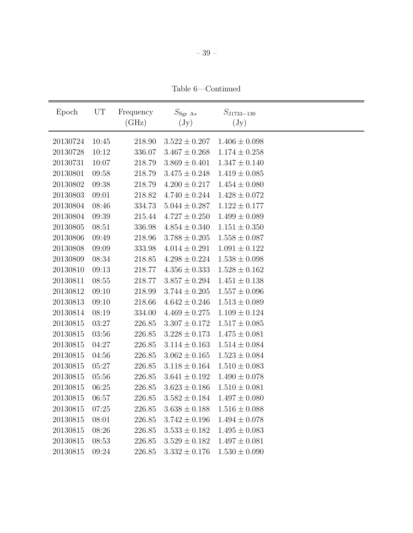Table 6—Continued

| Epoch    | UT    | Frequency | $S_{\rm Sgr\ A*}$ | $S_{\rm J1733-130}$ |  |
|----------|-------|-----------|-------------------|---------------------|--|
|          |       | (GHz)     | $(\mathrm{Jy})$   | $(\mathrm{Jy})$     |  |
| 20130724 | 10:45 | 218.90    | $3.522 \pm 0.207$ | $1.406 \pm 0.098$   |  |
| 20130728 | 10:12 | 336.07    | $3.467 \pm 0.268$ | $1.174 \pm 0.258$   |  |
| 20130731 | 10:07 | 218.79    | $3.869 \pm 0.401$ | $1.347 \pm 0.140$   |  |
| 20130801 | 09:58 | 218.79    | $3.475 \pm 0.248$ | $1.419 \pm 0.085$   |  |
| 20130802 | 09:38 | 218.79    | $4.200 \pm 0.217$ | $1.454\pm0.080$     |  |
| 20130803 | 09:01 | 218.82    | $4.740 \pm 0.244$ | $1.428 \pm 0.072$   |  |
| 20130804 | 08:46 | 334.73    | $5.044 \pm 0.287$ | $1.122 \pm 0.177$   |  |
| 20130804 | 09:39 | 215.44    | $4.727 \pm 0.250$ | $1.499 \pm 0.089$   |  |
| 20130805 | 08:51 | 336.98    | $4.854 \pm 0.340$ | $1.151 \pm 0.350$   |  |
| 20130806 | 09:49 | 218.96    | $3.788 \pm 0.205$ | $1.558 \pm 0.087$   |  |
| 20130808 | 09:09 | 333.98    | $4.014 \pm 0.291$ | $1.091 \pm 0.122$   |  |
| 20130809 | 08:34 | 218.85    | $4.298 \pm 0.224$ | $1.538 \pm 0.098$   |  |
| 20130810 | 09:13 | 218.77    | $4.356 \pm 0.333$ | $1.528 \pm 0.162$   |  |
| 20130811 | 08:55 | 218.77    | $3.857\pm0.294$   | $1.451 \pm 0.138$   |  |
| 20130812 | 09:10 | 218.99    | $3.744 \pm 0.205$ | $1.557 \pm 0.096$   |  |
| 20130813 | 09:10 | 218.66    | $4.642 \pm 0.246$ | $1.513 \pm 0.089$   |  |
| 20130814 | 08:19 | 334.00    | $4.469 \pm 0.275$ | $1.109 \pm 0.124$   |  |
| 20130815 | 03:27 | 226.85    | $3.307 \pm 0.172$ | $1.517 \pm 0.085$   |  |
| 20130815 | 03:56 | 226.85    | $3.228 \pm 0.173$ | $1.475 \pm 0.081$   |  |
| 20130815 | 04:27 | 226.85    | $3.114 \pm 0.163$ | $1.514 \pm 0.084$   |  |
| 20130815 | 04:56 | 226.85    | $3.062 \pm 0.165$ | $1.523 \pm 0.084$   |  |
| 20130815 | 05:27 | 226.85    | $3.118 \pm 0.164$ | $1.510 \pm 0.083$   |  |
| 20130815 | 05:56 | 226.85    | $3.641 \pm 0.192$ | $1.490 \pm 0.078$   |  |
| 20130815 | 06:25 | 226.85    | $3.623 \pm 0.186$ | $1.510 \pm 0.081$   |  |
| 20130815 | 06:57 | 226.85    | $3.582 \pm 0.184$ | $1.497 \pm 0.080$   |  |
| 20130815 | 07:25 | 226.85    | $3.638 \pm 0.188$ | $1.516 \pm 0.088$   |  |
| 20130815 | 08:01 | 226.85    | $3.742 \pm 0.196$ | $1.494 \pm 0.078$   |  |
| 20130815 | 08:26 | 226.85    | $3.533 \pm 0.182$ | $1.495 \pm 0.083$   |  |
| 20130815 | 08:53 | 226.85    | $3.529 \pm 0.182$ | $1.497 \pm 0.081$   |  |
| 20130815 | 09:24 | 226.85    | $3.332 \pm 0.176$ | $1.530 \pm 0.090$   |  |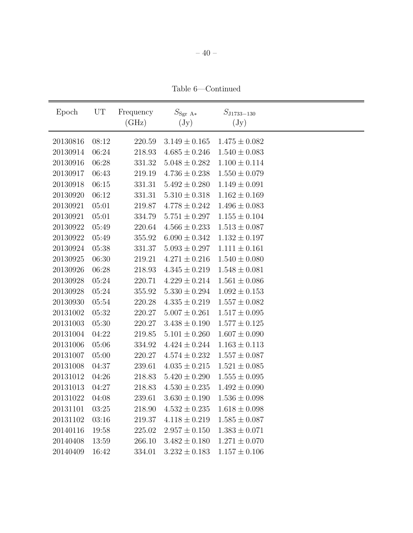Table 6—Continued

| Epoch    | UT      | Frequency  | $S_{\rm Sgr\ A*}$ | $S_{\rm J1733-130}$ |  |
|----------|---------|------------|-------------------|---------------------|--|
|          |         | (GHz)      | $(\mathrm{Jy})$   | $(\mathrm{Jy})$     |  |
| 20130816 | 08:12   | 220.59     | $3.149 \pm 0.165$ | $1.475 \pm 0.082$   |  |
| 20130914 | 06:24   | 218.93     | $4.685 \pm 0.246$ | $1.540 \pm 0.083$   |  |
| 20130916 | 06:28   | 331.32     | $5.048 \pm 0.282$ | $1.100 \pm 0.114$   |  |
| 20130917 | 06:43   | 219.19     | $4.736 \pm 0.238$ | $1.550 \pm 0.079$   |  |
| 20130918 | 06:15   | 331.31     | $5.492 \pm 0.280$ | $1.149 \pm 0.091$   |  |
| 20130920 | 06:12   | 331.31     | $5.310 \pm 0.318$ | $1.162 \pm 0.169$   |  |
| 20130921 | 05:01   | 219.87     | $4.778 \pm 0.242$ | $1.496 \pm 0.083$   |  |
| 20130921 | 05:01   | 334.79     | $5.751 \pm 0.297$ | $1.155 \pm 0.104$   |  |
| 20130922 | 05:49   | 220.64     | $4.566 \pm 0.233$ | $1.513 \pm 0.087$   |  |
| 20130922 | 05:49   | 355.92     | $6.090 \pm 0.342$ | $1.132 \pm 0.197$   |  |
| 20130924 | 05:38   | 331.37     | $5.093 \pm 0.297$ | $1.111 \pm 0.161$   |  |
| 20130925 | 06:30   | 219.21     | $4.271 \pm 0.216$ | $1.540 \pm 0.080$   |  |
| 20130926 | 06:28   | 218.93     | $4.345 \pm 0.219$ | $1.548 \pm 0.081$   |  |
| 20130928 | 05:24   | 220.71     | $4.229 \pm 0.214$ | $1.561 \pm 0.086$   |  |
| 20130928 | 05:24   | 355.92     | $5.330 \pm 0.294$ | $1.092 \pm 0.153$   |  |
| 20130930 | 05:54   | 220.28     | $4.335 \pm 0.219$ | $1.557 \pm 0.082$   |  |
| 20131002 | $05:32$ | 220.27     | $5.007 \pm 0.261$ | $1.517 \pm 0.095$   |  |
| 20131003 | 05:30   | 220.27     | $3.438 \pm 0.190$ | $1.577 \pm 0.125$   |  |
| 20131004 | 04:22   | 219.85     | $5.101 \pm 0.260$ | $1.607 \pm 0.090$   |  |
| 20131006 | 05:06   | 334.92     | $4.424 \pm 0.244$ | $1.163 \pm 0.113$   |  |
| 20131007 | 05:00   | 220.27     | $4.574 \pm 0.232$ | $1.557 \pm 0.087$   |  |
| 20131008 | 04:37   | 239.61     | $4.035 \pm 0.215$ | $1.521 \pm 0.085$   |  |
| 20131012 | 04:26   | 218.83     | $5.420 \pm 0.290$ | $1.555 \pm 0.095$   |  |
| 20131013 | 04:27   | $218.83\,$ | $4.530 \pm 0.235$ | $1.492 \pm 0.090$   |  |
| 20131022 | 04:08   | 239.61     | $3.630 \pm 0.190$ | $1.536 \pm 0.098$   |  |
| 20131101 | 03:25   | 218.90     | $4.532 \pm 0.235$ | $1.618 \pm 0.098$   |  |
| 20131102 | 03:16   | 219.37     | $4.118 \pm 0.219$ | $1.585 \pm 0.087$   |  |
| 20140116 | 19:58   | 225.02     | $2.957 \pm 0.150$ | $1.383 \pm 0.071$   |  |
| 20140408 | 13:59   | 266.10     | $3.482 \pm 0.180$ | $1.271 \pm 0.070$   |  |
| 20140409 | 16:42   | 334.01     | $3.232 \pm 0.183$ | $1.157 \pm 0.106$   |  |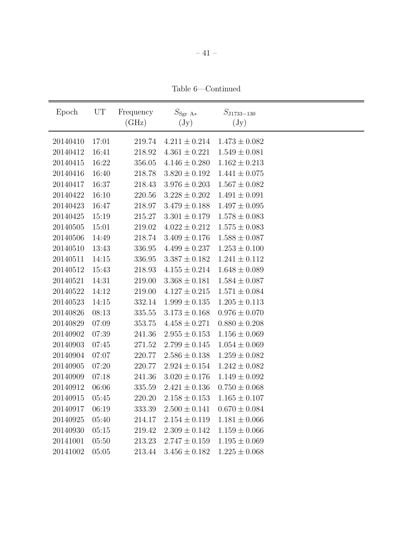Table 6—Continued

| Epoch    | UT    | Frequency | $S_{\text{Sgr A*}}$ | $S_{\rm J1733-130}$ |  |
|----------|-------|-----------|---------------------|---------------------|--|
|          |       | (GHz)     | $(\mathrm{Jy})$     | $(\mathrm{Jy})$     |  |
| 20140410 | 17:01 | 219.74    | $4.211 \pm 0.214$   | $1.473 \pm 0.082$   |  |
| 20140412 | 16:41 | 218.92    | $4.361 \pm 0.221$   | $1.549 \pm 0.081$   |  |
| 20140415 | 16:22 | 356.05    | $4.146 \pm 0.280$   | $1.162 \pm 0.213$   |  |
| 20140416 | 16:40 | 218.78    | $3.820 \pm 0.192$   | $1.441 \pm 0.075$   |  |
| 20140417 | 16:37 | 218.43    | $3.976 \pm 0.203$   | $1.567\pm0.082$     |  |
| 20140422 | 16:10 | 220.56    | $3.228 \pm 0.202$   | $1.491 \pm 0.091$   |  |
| 20140423 | 16:47 | 218.97    | $3.479 \pm 0.188$   | $1.497 \pm 0.095$   |  |
| 20140425 | 15:19 | 215.27    | $3.301\pm0.179$     | $1.578 \pm 0.083$   |  |
| 20140505 | 15:01 | 219.02    | $4.022 \pm 0.212$   | $1.575 \pm 0.083$   |  |
| 20140506 | 14:49 | 218.74    | $3.409 \pm 0.176$   | $1.588 \pm 0.087$   |  |
| 20140510 | 13:43 | 336.95    | $4.499 \pm 0.237$   | $1.253 \pm 0.100$   |  |
| 20140511 | 14:15 | 336.95    | $3.387 \pm 0.182$   | $1.241 \pm 0.112$   |  |
| 20140512 | 15:43 | 218.93    | $4.155 \pm 0.214$   | $1.648 \pm 0.089$   |  |
| 20140521 | 14:31 | 219.00    | $3.368 \pm 0.181$   | $1.584 \pm 0.087$   |  |
| 20140522 | 14:12 | 219.00    | $4.127 \pm 0.215$   | $1.571 \pm 0.084$   |  |
| 20140523 | 14:15 | 332.14    | $1.999 \pm 0.135$   | $1.205 \pm 0.113$   |  |
| 20140826 | 08:13 | 335.55    | $3.173 \pm 0.168$   | $0.976 \pm 0.070$   |  |
| 20140829 | 07:09 | 353.75    | $4.458 \pm 0.271$   | $0.880 \pm 0.208$   |  |
| 20140902 | 07:39 | 241.36    | $2.955 \pm 0.153$   | $1.156 \pm 0.069$   |  |
| 20140903 | 07:45 | 271.52    | $2.799 \pm 0.145$   | $1.054 \pm 0.069$   |  |
| 20140904 | 07:07 | 220.77    | $2.586 \pm 0.138$   | $1.259 \pm 0.082$   |  |
| 20140905 | 07:20 | 220.77    | $2.924 \pm 0.154$   | $1.242 \pm 0.082$   |  |
| 20140909 | 07:18 | 241.36    | $3.020 \pm 0.176$   | $1.149 \pm 0.092$   |  |
| 20140912 | 06:06 | 335.59    | $2.421 \pm 0.136$   | $0.750 \pm 0.068$   |  |
| 20140915 | 05:45 | 220.20    | $2.158 \pm 0.153$   | $1.165 \pm 0.107$   |  |
| 20140917 | 06:19 | 333.39    | $2.500 \pm 0.141$   | $0.670 \pm 0.084$   |  |
| 20140925 | 05:40 | 214.17    | $2.154 \pm 0.119$   | $1.181 \pm 0.066$   |  |
| 20140930 | 05:15 | 219.42    | $2.309 \pm 0.142$   | $1.159 \pm 0.066$   |  |
| 20141001 | 05:50 | 213.23    | $2.747 \pm 0.159$   | $1.195 \pm 0.069$   |  |
| 20141002 | 05:05 | 213.44    | $3.456 \pm 0.182$   | $1.225 \pm 0.068$   |  |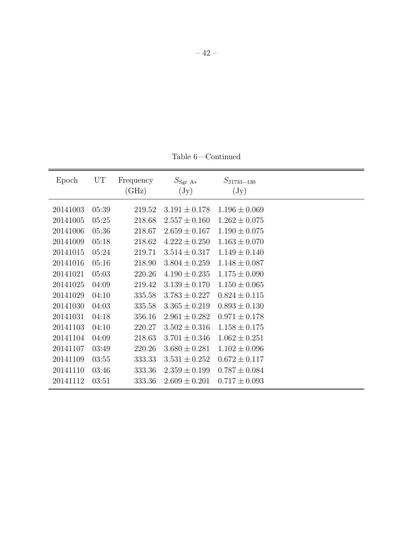Table 6—Continued

| Epoch    | UT    | Frequency<br>(GHz) | $S_{\rm Sgr\ A*}$<br>$(\mathrm{Jy})$ | $S_{\rm J1733-130}$<br>$(\mathrm{Jy})$ |  |
|----------|-------|--------------------|--------------------------------------|----------------------------------------|--|
| 20141003 | 05:39 | 219.52             | $3.191 \pm 0.178$                    | $1.196 \pm 0.069$                      |  |
| 20141005 | 05:25 | 218.68             | $2.557 \pm 0.160$                    | $1.262 \pm 0.075$                      |  |
| 20141006 | 05:36 | 218.67             | $2.659 \pm 0.167$                    | $1.190 \pm 0.075$                      |  |
| 20141009 | 05:18 | 218.62             | $4.222 \pm 0.250$                    | $1.163 \pm 0.070$                      |  |
| 20141015 | 05:24 | 219.71             | $3.514 \pm 0.317$                    | $1.149 \pm 0.140$                      |  |
| 20141016 | 05:16 | 218.90             | $3.804 \pm 0.259$                    | $1.148 \pm 0.087$                      |  |
| 20141021 | 05:03 | 220.26             | $4.190 \pm 0.235$                    | $1.175 \pm 0.090$                      |  |
| 20141025 | 04:09 | 219.42             | $3.139 \pm 0.170$                    | $1.150 \pm 0.065$                      |  |
| 20141029 | 04:10 | 335.58             | $3.783 \pm 0.227$                    | $0.824 \pm 0.115$                      |  |
| 20141030 | 04:03 | 335.58             | $3.365 \pm 0.219$                    | $0.893 \pm 0.130$                      |  |
| 20141031 | 04:18 | 356.16             | $2.961 \pm 0.282$                    | $0.971 \pm 0.178$                      |  |
| 20141103 | 04:10 | 220.27             | $3.502 \pm 0.316$                    | $1.158\pm0.175$                        |  |
| 20141104 | 04:09 | 218.63             | $3.701 \pm 0.346$                    | $1.062 \pm 0.251$                      |  |
| 20141107 | 03:49 | 220.26             | $3.680 \pm 0.281$                    | $1.102 \pm 0.096$                      |  |
| 20141109 | 03:55 | 333.33             | $3.531 \pm 0.252$                    | $0.672 \pm 0.117$                      |  |
| 20141110 | 03:46 | 333.36             | $2.359 \pm 0.199$                    | $0.787 \pm 0.084$                      |  |
| 20141112 | 03:51 | 333.36             | $2.609 \pm 0.201$                    | $0.717 \pm 0.093$                      |  |